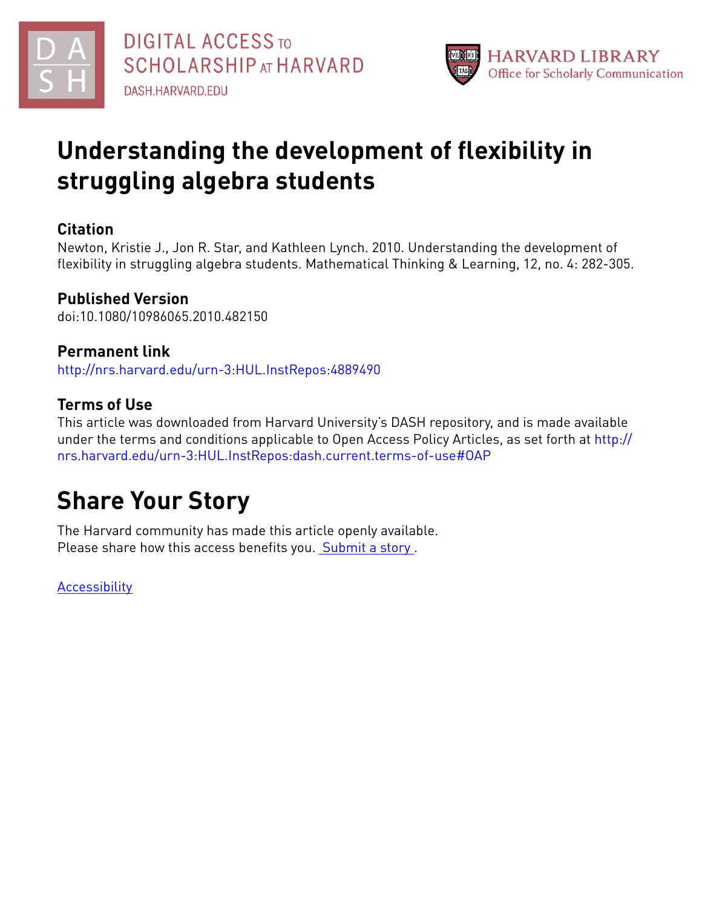



# **Understanding the development of flexibility in struggling algebra students**

# **Citation**

Newton, Kristie J., Jon R. Star, and Kathleen Lynch. 2010. Understanding the development of flexibility in struggling algebra students. Mathematical Thinking & Learning, 12, no. 4: 282-305.

# **Published Version**

doi:10.1080/10986065.2010.482150

# **Permanent link**

<http://nrs.harvard.edu/urn-3:HUL.InstRepos:4889490>

# **Terms of Use**

This article was downloaded from Harvard University's DASH repository, and is made available under the terms and conditions applicable to Open Access Policy Articles, as set forth at [http://](http://nrs.harvard.edu/urn-3:HUL.InstRepos:dash.current.terms-of-use#OAP) [nrs.harvard.edu/urn-3:HUL.InstRepos:dash.current.terms-of-use#OAP](http://nrs.harvard.edu/urn-3:HUL.InstRepos:dash.current.terms-of-use#OAP)

# **Share Your Story**

The Harvard community has made this article openly available. Please share how this access benefits you. [Submit](http://osc.hul.harvard.edu/dash/open-access-feedback?handle=&title=Understanding%20the%20development%20of%20flexibility%20in%20struggling%20algebra%20students&community=1/3345927&collection=1/3345928&owningCollection1/3345928&harvardAuthors=64f8d5e06892fe37e4fc9d4cfe24ae20&department) a story.

**[Accessibility](https://dash.harvard.edu/pages/accessibility)**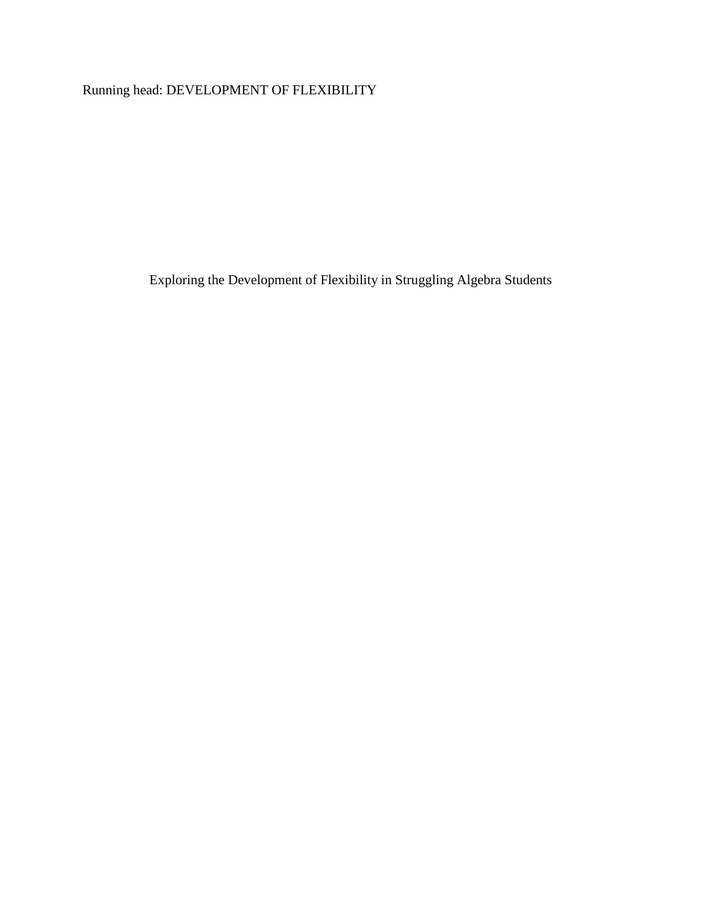Running head: DEVELOPMENT OF FLEXIBILITY

Exploring the Development of Flexibility in Struggling Algebra Students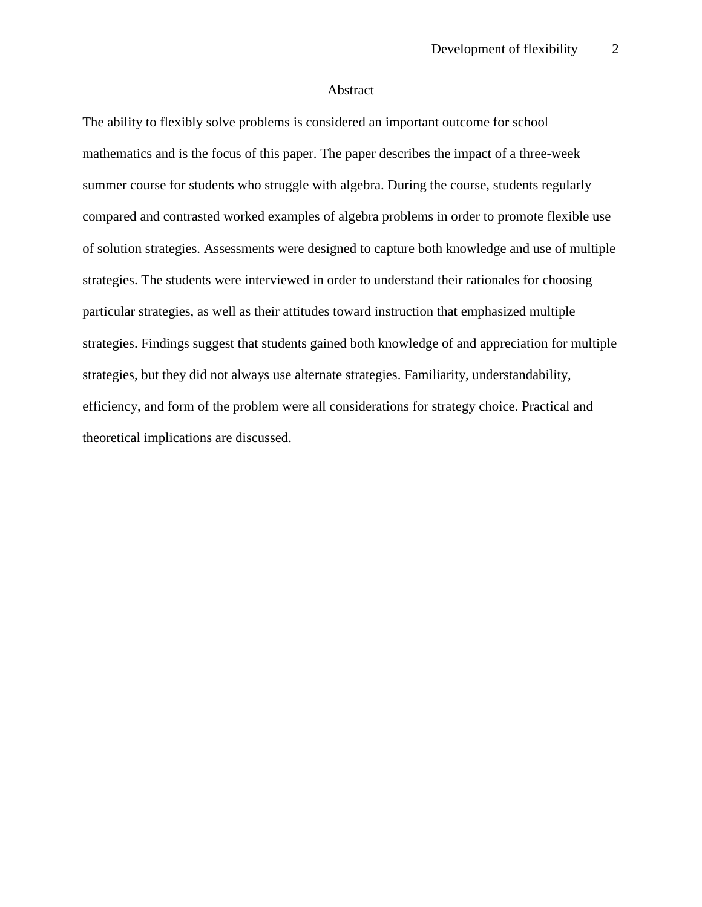#### Abstract

The ability to flexibly solve problems is considered an important outcome for school mathematics and is the focus of this paper. The paper describes the impact of a three-week summer course for students who struggle with algebra. During the course, students regularly compared and contrasted worked examples of algebra problems in order to promote flexible use of solution strategies. Assessments were designed to capture both knowledge and use of multiple strategies. The students were interviewed in order to understand their rationales for choosing particular strategies, as well as their attitudes toward instruction that emphasized multiple strategies. Findings suggest that students gained both knowledge of and appreciation for multiple strategies, but they did not always use alternate strategies. Familiarity, understandability, efficiency, and form of the problem were all considerations for strategy choice. Practical and theoretical implications are discussed.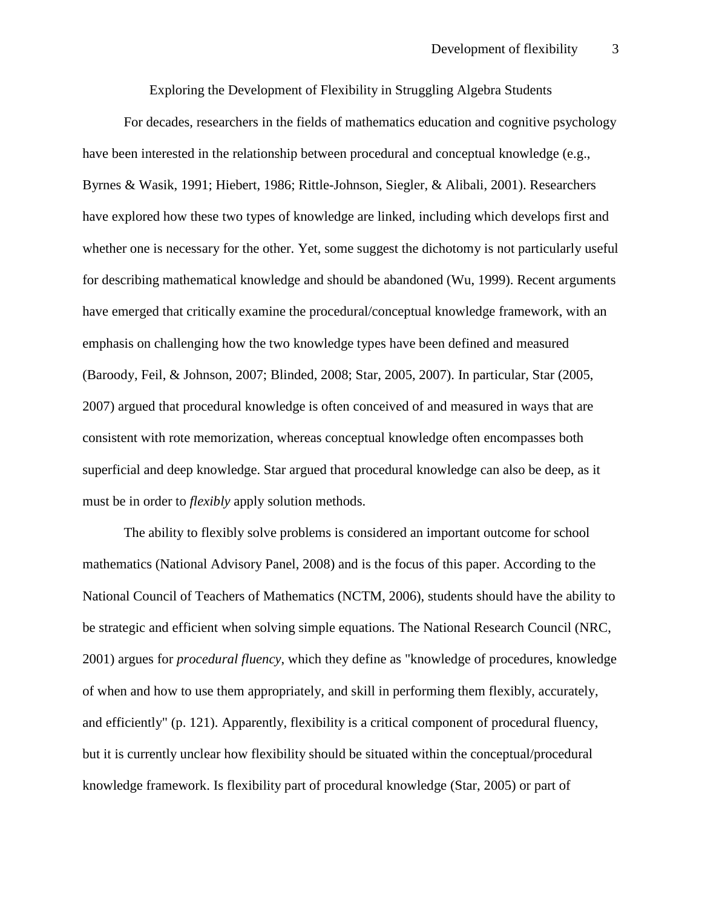Exploring the Development of Flexibility in Struggling Algebra Students

For decades, researchers in the fields of mathematics education and cognitive psychology have been interested in the relationship between procedural and conceptual knowledge (e.g., Byrnes & Wasik, 1991; Hiebert, 1986; Rittle-Johnson, Siegler, & Alibali, 2001). Researchers have explored how these two types of knowledge are linked, including which develops first and whether one is necessary for the other. Yet, some suggest the dichotomy is not particularly useful for describing mathematical knowledge and should be abandoned (Wu, 1999). Recent arguments have emerged that critically examine the procedural/conceptual knowledge framework, with an emphasis on challenging how the two knowledge types have been defined and measured (Baroody, Feil, & Johnson, 2007; Blinded, 2008; Star, 2005, 2007). In particular, Star (2005, 2007) argued that procedural knowledge is often conceived of and measured in ways that are consistent with rote memorization, whereas conceptual knowledge often encompasses both superficial and deep knowledge. Star argued that procedural knowledge can also be deep, as it must be in order to *flexibly* apply solution methods.

The ability to flexibly solve problems is considered an important outcome for school mathematics (National Advisory Panel, 2008) and is the focus of this paper. According to the National Council of Teachers of Mathematics (NCTM, 2006), students should have the ability to be strategic and efficient when solving simple equations. The National Research Council (NRC, 2001) argues for *procedural fluency*, which they define as "knowledge of procedures, knowledge of when and how to use them appropriately, and skill in performing them flexibly, accurately, and efficiently" (p. 121). Apparently, flexibility is a critical component of procedural fluency, but it is currently unclear how flexibility should be situated within the conceptual/procedural knowledge framework. Is flexibility part of procedural knowledge (Star, 2005) or part of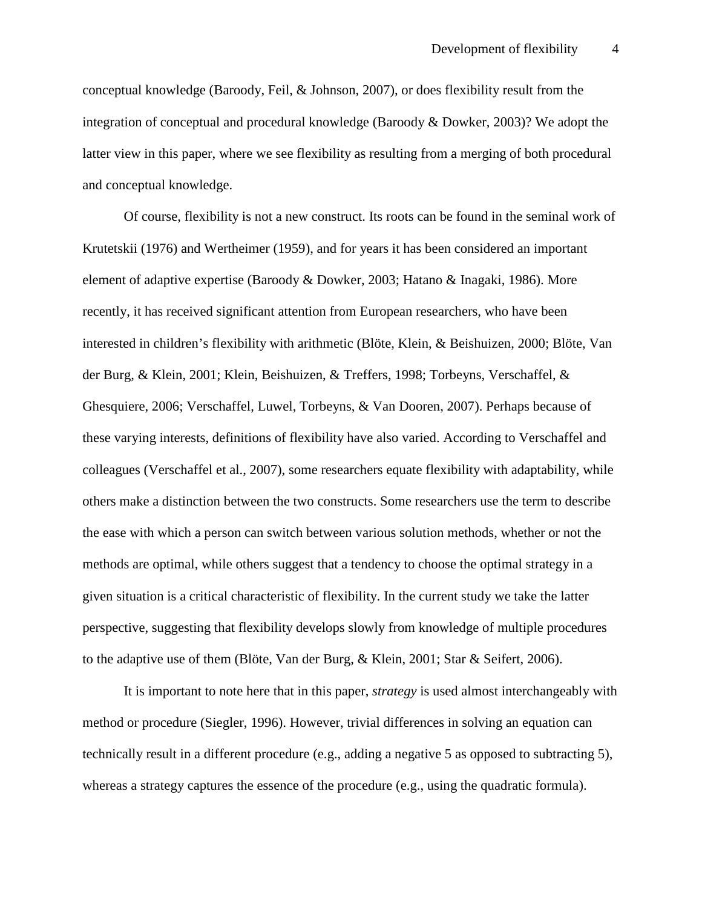conceptual knowledge (Baroody, Feil, & Johnson, 2007), or does flexibility result from the integration of conceptual and procedural knowledge (Baroody & Dowker, 2003)? We adopt the latter view in this paper, where we see flexibility as resulting from a merging of both procedural and conceptual knowledge.

Of course, flexibility is not a new construct. Its roots can be found in the seminal work of Krutetskii (1976) and Wertheimer (1959), and for years it has been considered an important element of adaptive expertise (Baroody & Dowker, 2003; Hatano & Inagaki, 1986). More recently, it has received significant attention from European researchers, who have been interested in children's flexibility with arithmetic (Blöte, Klein, & Beishuizen, 2000; Blöte, Van der Burg, & Klein, 2001; Klein, Beishuizen, & Treffers, 1998; Torbeyns, Verschaffel, & Ghesquiere, 2006; Verschaffel, Luwel, Torbeyns, & Van Dooren, 2007). Perhaps because of these varying interests, definitions of flexibility have also varied. According to Verschaffel and colleagues (Verschaffel et al., 2007), some researchers equate flexibility with adaptability, while others make a distinction between the two constructs. Some researchers use the term to describe the ease with which a person can switch between various solution methods, whether or not the methods are optimal, while others suggest that a tendency to choose the optimal strategy in a given situation is a critical characteristic of flexibility. In the current study we take the latter perspective, suggesting that flexibility develops slowly from knowledge of multiple procedures to the adaptive use of them (Blöte, Van der Burg, & Klein, 2001; Star & Seifert, 2006).

It is important to note here that in this paper, *strategy* is used almost interchangeably with method or procedure (Siegler, 1996). However, trivial differences in solving an equation can technically result in a different procedure (e.g., adding a negative 5 as opposed to subtracting 5), whereas a strategy captures the essence of the procedure (e.g., using the quadratic formula).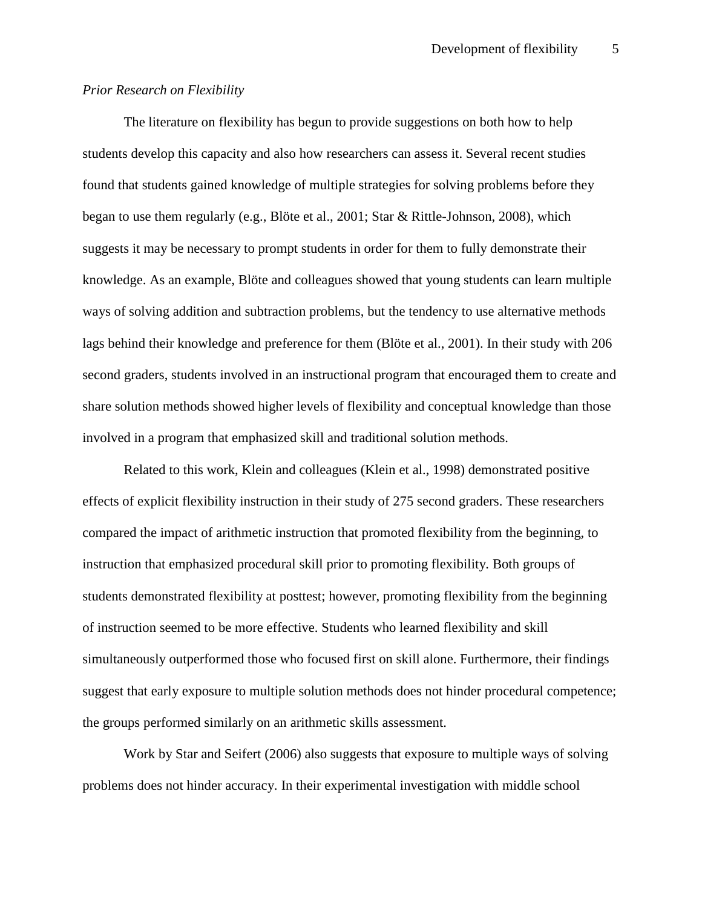## *Prior Research on Flexibility*

The literature on flexibility has begun to provide suggestions on both how to help students develop this capacity and also how researchers can assess it. Several recent studies found that students gained knowledge of multiple strategies for solving problems before they began to use them regularly (e.g., Blöte et al., 2001; Star & Rittle-Johnson, 2008), which suggests it may be necessary to prompt students in order for them to fully demonstrate their knowledge. As an example, Blöte and colleagues showed that young students can learn multiple ways of solving addition and subtraction problems, but the tendency to use alternative methods lags behind their knowledge and preference for them (Blöte et al., 2001). In their study with 206 second graders, students involved in an instructional program that encouraged them to create and share solution methods showed higher levels of flexibility and conceptual knowledge than those involved in a program that emphasized skill and traditional solution methods.

Related to this work, Klein and colleagues (Klein et al., 1998) demonstrated positive effects of explicit flexibility instruction in their study of 275 second graders. These researchers compared the impact of arithmetic instruction that promoted flexibility from the beginning, to instruction that emphasized procedural skill prior to promoting flexibility. Both groups of students demonstrated flexibility at posttest; however, promoting flexibility from the beginning of instruction seemed to be more effective. Students who learned flexibility and skill simultaneously outperformed those who focused first on skill alone. Furthermore, their findings suggest that early exposure to multiple solution methods does not hinder procedural competence; the groups performed similarly on an arithmetic skills assessment.

Work by Star and Seifert (2006) also suggests that exposure to multiple ways of solving problems does not hinder accuracy. In their experimental investigation with middle school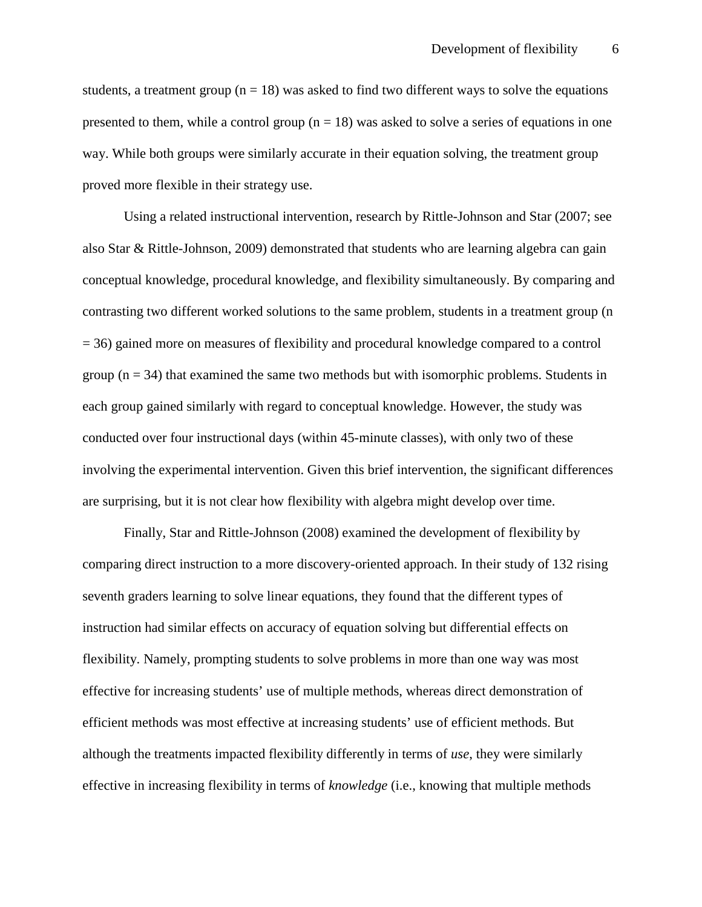students, a treatment group ( $n = 18$ ) was asked to find two different ways to solve the equations presented to them, while a control group  $(n = 18)$  was asked to solve a series of equations in one way. While both groups were similarly accurate in their equation solving, the treatment group proved more flexible in their strategy use.

Using a related instructional intervention, research by Rittle-Johnson and Star (2007; see also Star & Rittle-Johnson, 2009) demonstrated that students who are learning algebra can gain conceptual knowledge, procedural knowledge, and flexibility simultaneously. By comparing and contrasting two different worked solutions to the same problem, students in a treatment group (n = 36) gained more on measures of flexibility and procedural knowledge compared to a control group  $(n = 34)$  that examined the same two methods but with isomorphic problems. Students in each group gained similarly with regard to conceptual knowledge. However, the study was conducted over four instructional days (within 45-minute classes), with only two of these involving the experimental intervention. Given this brief intervention, the significant differences are surprising, but it is not clear how flexibility with algebra might develop over time.

Finally, Star and Rittle-Johnson (2008) examined the development of flexibility by comparing direct instruction to a more discovery-oriented approach. In their study of 132 rising seventh graders learning to solve linear equations, they found that the different types of instruction had similar effects on accuracy of equation solving but differential effects on flexibility. Namely, prompting students to solve problems in more than one way was most effective for increasing students' use of multiple methods, whereas direct demonstration of efficient methods was most effective at increasing students' use of efficient methods. But although the treatments impacted flexibility differently in terms of *use*, they were similarly effective in increasing flexibility in terms of *knowledge* (i.e., knowing that multiple methods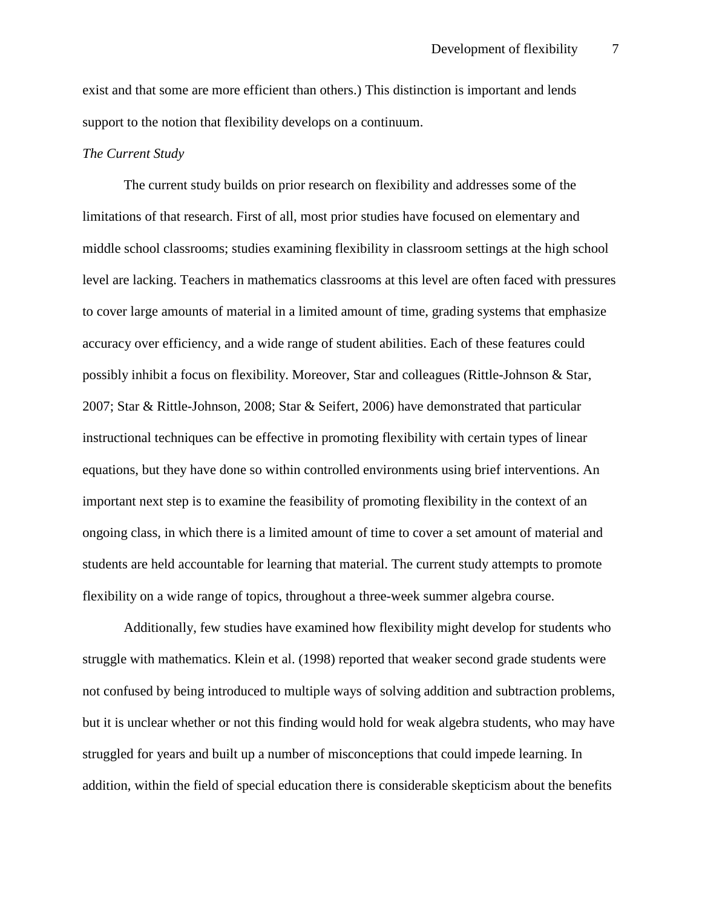exist and that some are more efficient than others.) This distinction is important and lends support to the notion that flexibility develops on a continuum.

### *The Current Study*

The current study builds on prior research on flexibility and addresses some of the limitations of that research. First of all, most prior studies have focused on elementary and middle school classrooms; studies examining flexibility in classroom settings at the high school level are lacking. Teachers in mathematics classrooms at this level are often faced with pressures to cover large amounts of material in a limited amount of time, grading systems that emphasize accuracy over efficiency, and a wide range of student abilities. Each of these features could possibly inhibit a focus on flexibility. Moreover, Star and colleagues (Rittle-Johnson & Star, 2007; Star & Rittle-Johnson, 2008; Star & Seifert, 2006) have demonstrated that particular instructional techniques can be effective in promoting flexibility with certain types of linear equations, but they have done so within controlled environments using brief interventions. An important next step is to examine the feasibility of promoting flexibility in the context of an ongoing class, in which there is a limited amount of time to cover a set amount of material and students are held accountable for learning that material. The current study attempts to promote flexibility on a wide range of topics, throughout a three-week summer algebra course.

Additionally, few studies have examined how flexibility might develop for students who struggle with mathematics. Klein et al. (1998) reported that weaker second grade students were not confused by being introduced to multiple ways of solving addition and subtraction problems, but it is unclear whether or not this finding would hold for weak algebra students, who may have struggled for years and built up a number of misconceptions that could impede learning. In addition, within the field of special education there is considerable skepticism about the benefits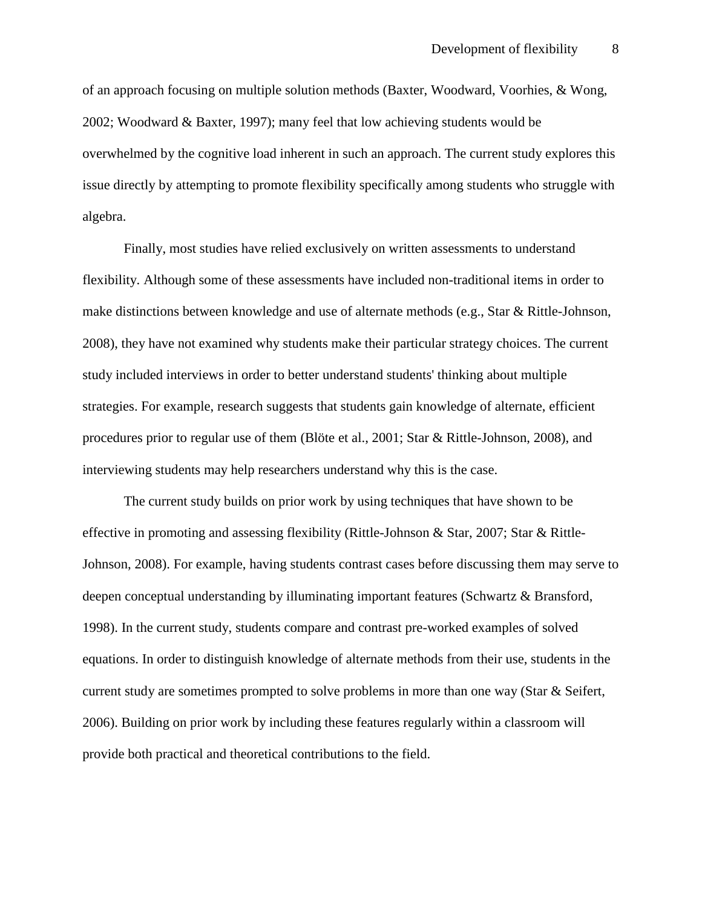of an approach focusing on multiple solution methods (Baxter, Woodward, Voorhies, & Wong, 2002; Woodward & Baxter, 1997); many feel that low achieving students would be overwhelmed by the cognitive load inherent in such an approach. The current study explores this issue directly by attempting to promote flexibility specifically among students who struggle with algebra.

Finally, most studies have relied exclusively on written assessments to understand flexibility. Although some of these assessments have included non-traditional items in order to make distinctions between knowledge and use of alternate methods (e.g., Star & Rittle-Johnson, 2008), they have not examined why students make their particular strategy choices. The current study included interviews in order to better understand students' thinking about multiple strategies. For example, research suggests that students gain knowledge of alternate, efficient procedures prior to regular use of them (Blöte et al., 2001; Star & Rittle-Johnson, 2008), and interviewing students may help researchers understand why this is the case.

The current study builds on prior work by using techniques that have shown to be effective in promoting and assessing flexibility (Rittle-Johnson & Star, 2007; Star & Rittle-Johnson, 2008). For example, having students contrast cases before discussing them may serve to deepen conceptual understanding by illuminating important features (Schwartz & Bransford, 1998). In the current study, students compare and contrast pre-worked examples of solved equations. In order to distinguish knowledge of alternate methods from their use, students in the current study are sometimes prompted to solve problems in more than one way (Star & Seifert, 2006). Building on prior work by including these features regularly within a classroom will provide both practical and theoretical contributions to the field.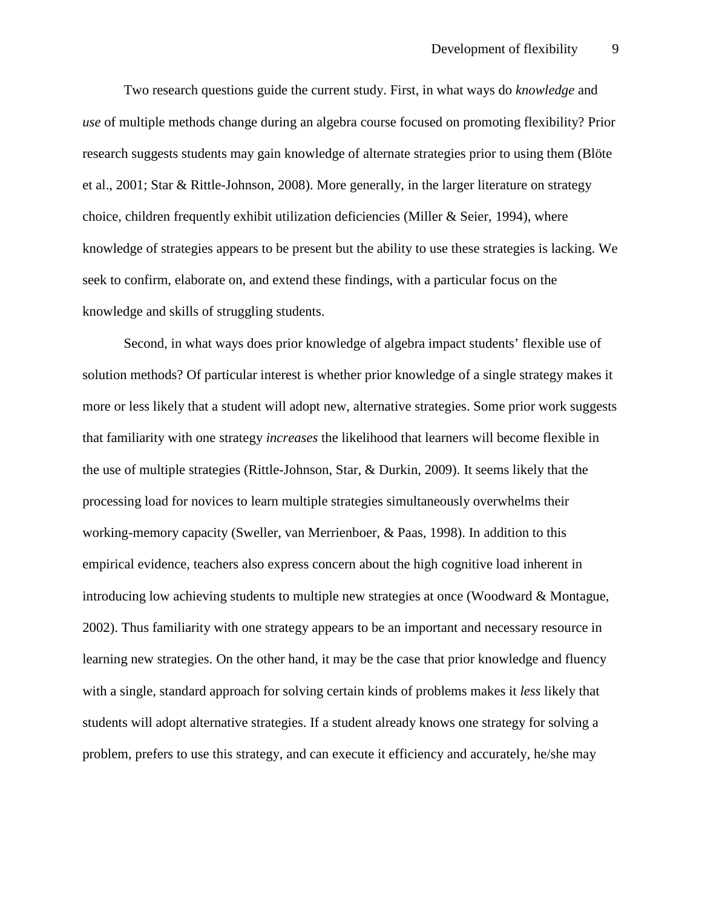Two research questions guide the current study. First, in what ways do *knowledge* and *use* of multiple methods change during an algebra course focused on promoting flexibility? Prior research suggests students may gain knowledge of alternate strategies prior to using them (Blöte et al., 2001; Star & Rittle-Johnson, 2008). More generally, in the larger literature on strategy choice, children frequently exhibit utilization deficiencies (Miller & Seier, 1994), where knowledge of strategies appears to be present but the ability to use these strategies is lacking. We seek to confirm, elaborate on, and extend these findings, with a particular focus on the knowledge and skills of struggling students.

Second, in what ways does prior knowledge of algebra impact students' flexible use of solution methods? Of particular interest is whether prior knowledge of a single strategy makes it more or less likely that a student will adopt new, alternative strategies. Some prior work suggests that familiarity with one strategy *increases* the likelihood that learners will become flexible in the use of multiple strategies (Rittle-Johnson, Star, & Durkin, 2009). It seems likely that the processing load for novices to learn multiple strategies simultaneously overwhelms their working-memory capacity (Sweller, van Merrienboer, & Paas, 1998). In addition to this empirical evidence, teachers also express concern about the high cognitive load inherent in introducing low achieving students to multiple new strategies at once (Woodward & Montague, 2002). Thus familiarity with one strategy appears to be an important and necessary resource in learning new strategies. On the other hand, it may be the case that prior knowledge and fluency with a single, standard approach for solving certain kinds of problems makes it *less* likely that students will adopt alternative strategies. If a student already knows one strategy for solving a problem, prefers to use this strategy, and can execute it efficiency and accurately, he/she may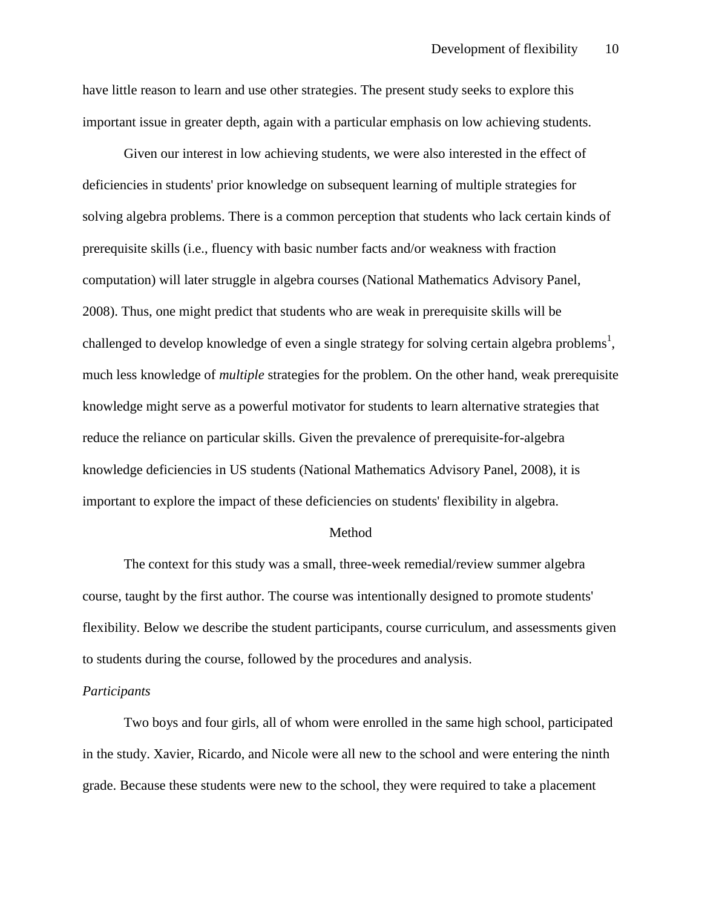have little reason to learn and use other strategies. The present study seeks to explore this important issue in greater depth, again with a particular emphasis on low achieving students.

Given our interest in low achieving students, we were also interested in the effect of deficiencies in students' prior knowledge on subsequent learning of multiple strategies for solving algebra problems. There is a common perception that students who lack certain kinds of prerequisite skills (i.e., fluency with basic number facts and/or weakness with fraction computation) will later struggle in algebra courses (National Mathematics Advisory Panel, 2008). Thus, one might predict that students who are weak in prerequisite skills will be challenged to develop knowledge of even a single strategy for solving certain algebra problems<sup>1</sup>, much less knowledge of *multiple* strategies for the problem. On the other hand, weak prerequisite knowledge might serve as a powerful motivator for students to learn alternative strategies that reduce the reliance on particular skills. Given the prevalence of prerequisite-for-algebra knowledge deficiencies in US students (National Mathematics Advisory Panel, 2008), it is important to explore the impact of these deficiencies on students' flexibility in algebra.

#### Method

The context for this study was a small, three-week remedial/review summer algebra course, taught by the first author. The course was intentionally designed to promote students' flexibility. Below we describe the student participants, course curriculum, and assessments given to students during the course, followed by the procedures and analysis.

#### *Participants*

Two boys and four girls, all of whom were enrolled in the same high school, participated in the study. Xavier, Ricardo, and Nicole were all new to the school and were entering the ninth grade. Because these students were new to the school, they were required to take a placement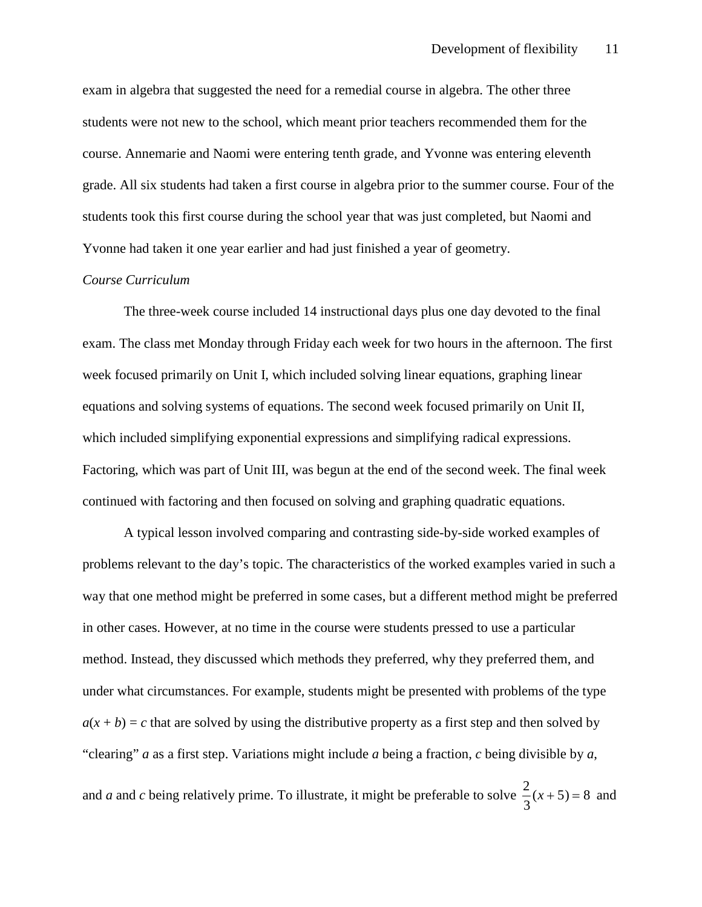exam in algebra that suggested the need for a remedial course in algebra. The other three students were not new to the school, which meant prior teachers recommended them for the course. Annemarie and Naomi were entering tenth grade, and Yvonne was entering eleventh grade. All six students had taken a first course in algebra prior to the summer course. Four of the students took this first course during the school year that was just completed, but Naomi and Yvonne had taken it one year earlier and had just finished a year of geometry.

## *Course Curriculum*

The three-week course included 14 instructional days plus one day devoted to the final exam. The class met Monday through Friday each week for two hours in the afternoon. The first week focused primarily on Unit I, which included solving linear equations, graphing linear equations and solving systems of equations. The second week focused primarily on Unit II, which included simplifying exponential expressions and simplifying radical expressions. Factoring, which was part of Unit III, was begun at the end of the second week. The final week continued with factoring and then focused on solving and graphing quadratic equations.

A typical lesson involved comparing and contrasting side-by-side worked examples of problems relevant to the day's topic. The characteristics of the worked examples varied in such a way that one method might be preferred in some cases, but a different method might be preferred in other cases. However, at no time in the course were students pressed to use a particular method. Instead, they discussed which methods they preferred, why they preferred them, and under what circumstances. For example, students might be presented with problems of the type  $a(x + b) = c$  that are solved by using the distributive property as a first step and then solved by "clearing" *a* as a first step. Variations might include *a* being a fraction, *c* being divisible by *a*, and *a* and *c* being relatively prime. To illustrate, it might be preferable to solve  $\frac{2}{3}$ 3  $(x+5) = 8$  and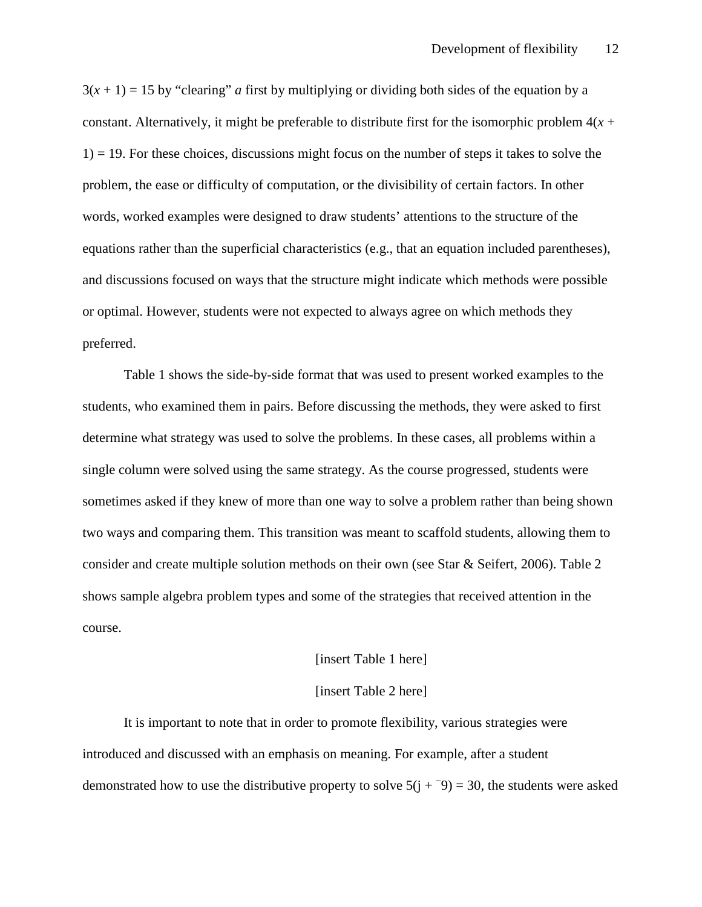$3(x + 1) = 15$  by "clearing" *a* first by multiplying or dividing both sides of the equation by a constant. Alternatively, it might be preferable to distribute first for the isomorphic problem  $4(x +$  $1$ ) = 19. For these choices, discussions might focus on the number of steps it takes to solve the problem, the ease or difficulty of computation, or the divisibility of certain factors. In other words, worked examples were designed to draw students' attentions to the structure of the equations rather than the superficial characteristics (e.g., that an equation included parentheses), and discussions focused on ways that the structure might indicate which methods were possible or optimal. However, students were not expected to always agree on which methods they preferred.

Table 1 shows the side-by-side format that was used to present worked examples to the students, who examined them in pairs. Before discussing the methods, they were asked to first determine what strategy was used to solve the problems. In these cases, all problems within a single column were solved using the same strategy. As the course progressed, students were sometimes asked if they knew of more than one way to solve a problem rather than being shown two ways and comparing them. This transition was meant to scaffold students, allowing them to consider and create multiple solution methods on their own (see Star & Seifert, 2006). Table 2 shows sample algebra problem types and some of the strategies that received attention in the course.

#### [insert Table 1 here]

#### [insert Table 2 here]

It is important to note that in order to promote flexibility, various strategies were introduced and discussed with an emphasis on meaning. For example, after a student demonstrated how to use the distributive property to solve  $5(j + 9) = 30$ , the students were asked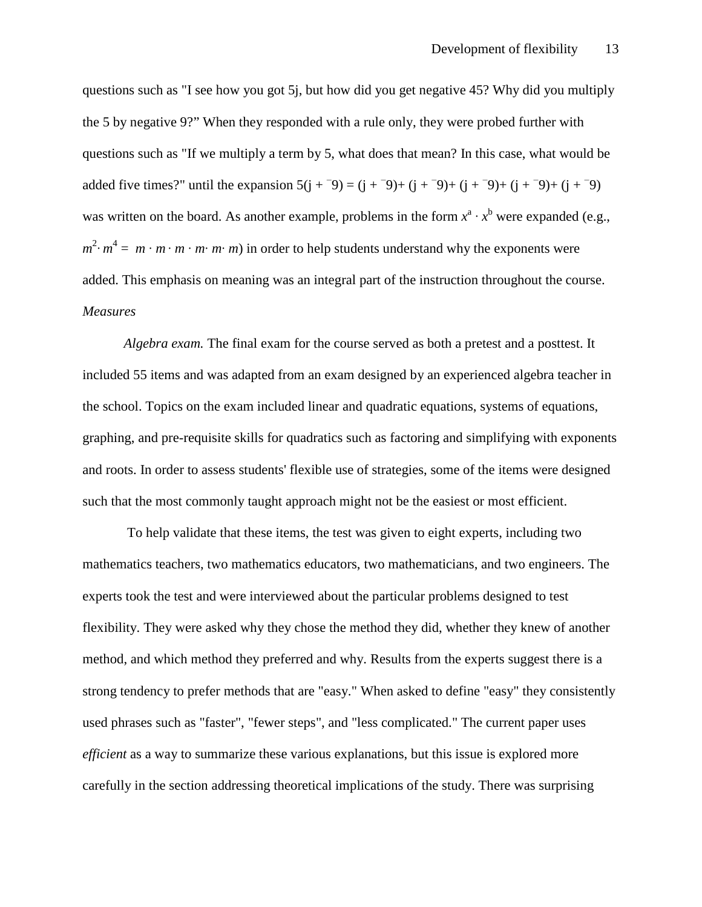questions such as "I see how you got 5j, but how did you get negative 45? Why did you multiply the 5 by negative 9?" When they responded with a rule only, they were probed further with questions such as "If we multiply a term by 5, what does that mean? In this case, what would be added five times?" until the expansion  $5(j + 9) = (j + 9) + (j + 9) + (j + 9) + (j + 9) + (j + 9)$ was written on the board. As another example, problems in the form  $x^a \cdot x^b$  were expanded (e.g.,  $m^2 \cdot m^4 = m \cdot m \cdot m \cdot m \cdot m$  in order to help students understand why the exponents were added. This emphasis on meaning was an integral part of the instruction throughout the course. *Measures*

*Algebra exam.* The final exam for the course served as both a pretest and a posttest. It included 55 items and was adapted from an exam designed by an experienced algebra teacher in the school. Topics on the exam included linear and quadratic equations, systems of equations, graphing, and pre-requisite skills for quadratics such as factoring and simplifying with exponents and roots. In order to assess students' flexible use of strategies, some of the items were designed such that the most commonly taught approach might not be the easiest or most efficient.

To help validate that these items, the test was given to eight experts, including two mathematics teachers, two mathematics educators, two mathematicians, and two engineers. The experts took the test and were interviewed about the particular problems designed to test flexibility. They were asked why they chose the method they did, whether they knew of another method, and which method they preferred and why. Results from the experts suggest there is a strong tendency to prefer methods that are "easy." When asked to define "easy" they consistently used phrases such as "faster", "fewer steps", and "less complicated." The current paper uses *efficient* as a way to summarize these various explanations, but this issue is explored more carefully in the section addressing theoretical implications of the study. There was surprising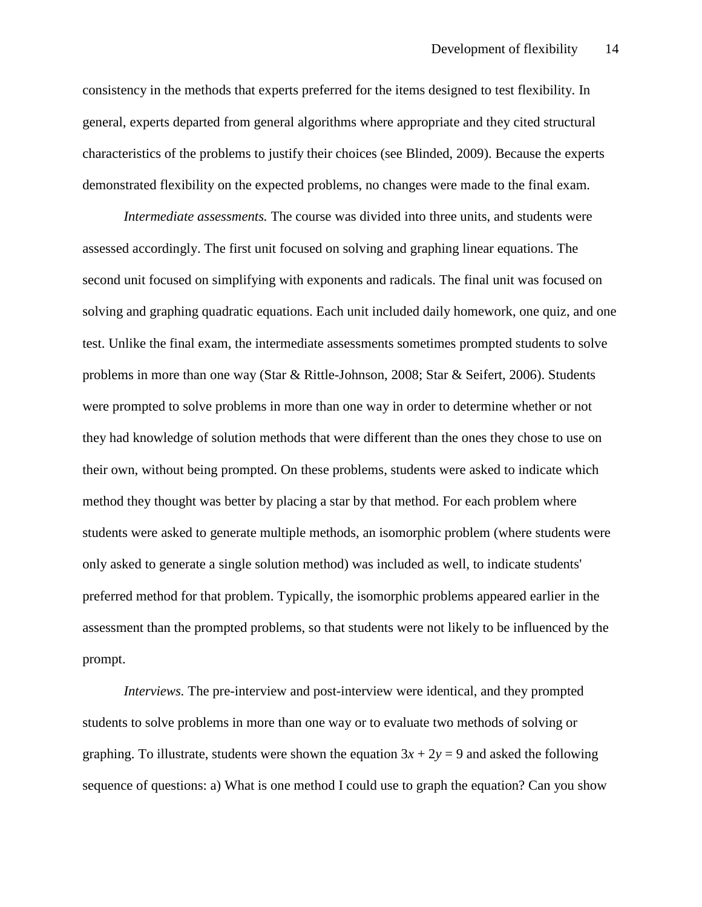consistency in the methods that experts preferred for the items designed to test flexibility. In general, experts departed from general algorithms where appropriate and they cited structural characteristics of the problems to justify their choices (see Blinded, 2009). Because the experts demonstrated flexibility on the expected problems, no changes were made to the final exam.

*Intermediate assessments.* The course was divided into three units, and students were assessed accordingly. The first unit focused on solving and graphing linear equations. The second unit focused on simplifying with exponents and radicals. The final unit was focused on solving and graphing quadratic equations. Each unit included daily homework, one quiz, and one test. Unlike the final exam, the intermediate assessments sometimes prompted students to solve problems in more than one way (Star & Rittle-Johnson, 2008; Star & Seifert, 2006). Students were prompted to solve problems in more than one way in order to determine whether or not they had knowledge of solution methods that were different than the ones they chose to use on their own, without being prompted. On these problems, students were asked to indicate which method they thought was better by placing a star by that method. For each problem where students were asked to generate multiple methods, an isomorphic problem (where students were only asked to generate a single solution method) was included as well, to indicate students' preferred method for that problem. Typically, the isomorphic problems appeared earlier in the assessment than the prompted problems, so that students were not likely to be influenced by the prompt.

*Interviews.* The pre-interview and post-interview were identical, and they prompted students to solve problems in more than one way or to evaluate two methods of solving or graphing. To illustrate, students were shown the equation  $3x + 2y = 9$  and asked the following sequence of questions: a) What is one method I could use to graph the equation? Can you show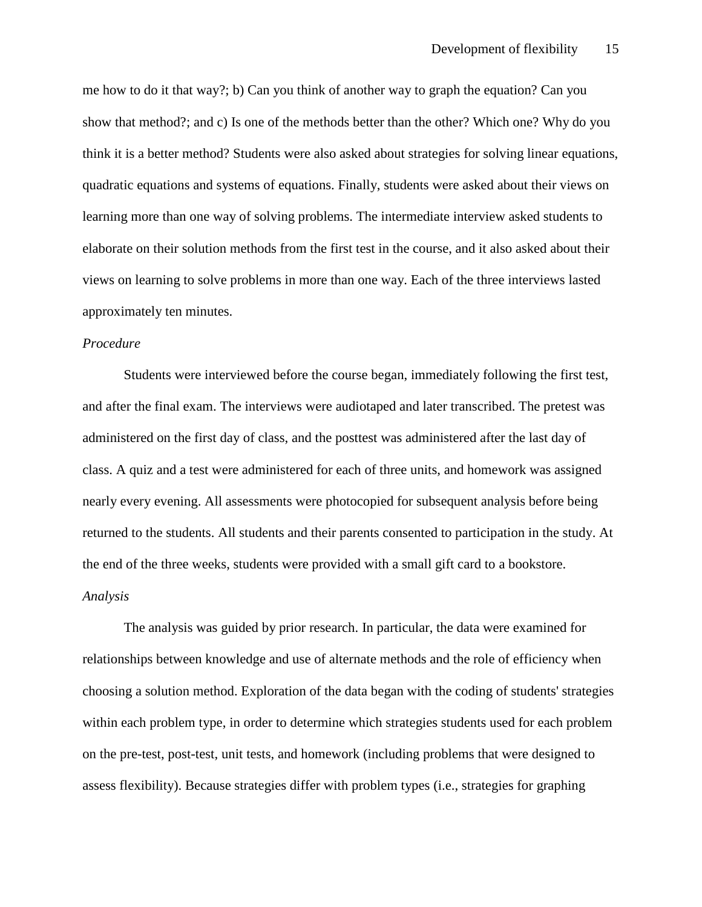me how to do it that way?; b) Can you think of another way to graph the equation? Can you show that method?; and c) Is one of the methods better than the other? Which one? Why do you think it is a better method? Students were also asked about strategies for solving linear equations, quadratic equations and systems of equations. Finally, students were asked about their views on learning more than one way of solving problems. The intermediate interview asked students to elaborate on their solution methods from the first test in the course, and it also asked about their views on learning to solve problems in more than one way. Each of the three interviews lasted approximately ten minutes.

## *Procedure*

Students were interviewed before the course began, immediately following the first test, and after the final exam. The interviews were audiotaped and later transcribed. The pretest was administered on the first day of class, and the posttest was administered after the last day of class. A quiz and a test were administered for each of three units, and homework was assigned nearly every evening. All assessments were photocopied for subsequent analysis before being returned to the students. All students and their parents consented to participation in the study. At the end of the three weeks, students were provided with a small gift card to a bookstore. *Analysis*

The analysis was guided by prior research. In particular, the data were examined for relationships between knowledge and use of alternate methods and the role of efficiency when choosing a solution method. Exploration of the data began with the coding of students' strategies within each problem type, in order to determine which strategies students used for each problem on the pre-test, post-test, unit tests, and homework (including problems that were designed to assess flexibility). Because strategies differ with problem types (i.e., strategies for graphing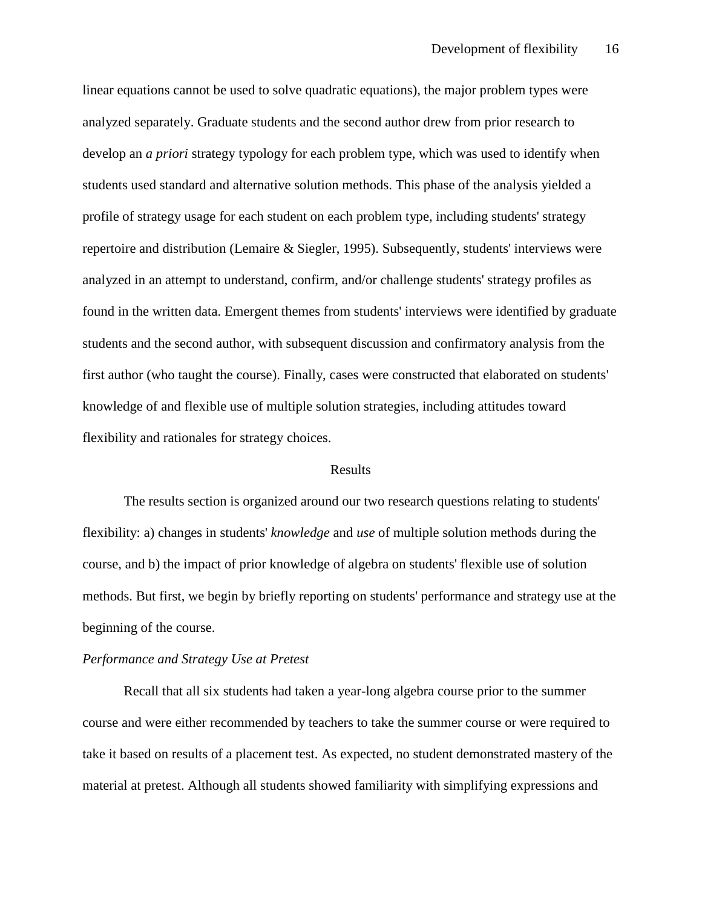linear equations cannot be used to solve quadratic equations), the major problem types were analyzed separately. Graduate students and the second author drew from prior research to develop an *a priori* strategy typology for each problem type, which was used to identify when students used standard and alternative solution methods. This phase of the analysis yielded a profile of strategy usage for each student on each problem type, including students' strategy repertoire and distribution (Lemaire & Siegler, 1995). Subsequently, students' interviews were analyzed in an attempt to understand, confirm, and/or challenge students' strategy profiles as found in the written data. Emergent themes from students' interviews were identified by graduate students and the second author, with subsequent discussion and confirmatory analysis from the first author (who taught the course). Finally, cases were constructed that elaborated on students' knowledge of and flexible use of multiple solution strategies, including attitudes toward flexibility and rationales for strategy choices.

#### Results

The results section is organized around our two research questions relating to students' flexibility: a) changes in students' *knowledge* and *use* of multiple solution methods during the course, and b) the impact of prior knowledge of algebra on students' flexible use of solution methods. But first, we begin by briefly reporting on students' performance and strategy use at the beginning of the course.

#### *Performance and Strategy Use at Pretest*

Recall that all six students had taken a year-long algebra course prior to the summer course and were either recommended by teachers to take the summer course or were required to take it based on results of a placement test. As expected, no student demonstrated mastery of the material at pretest. Although all students showed familiarity with simplifying expressions and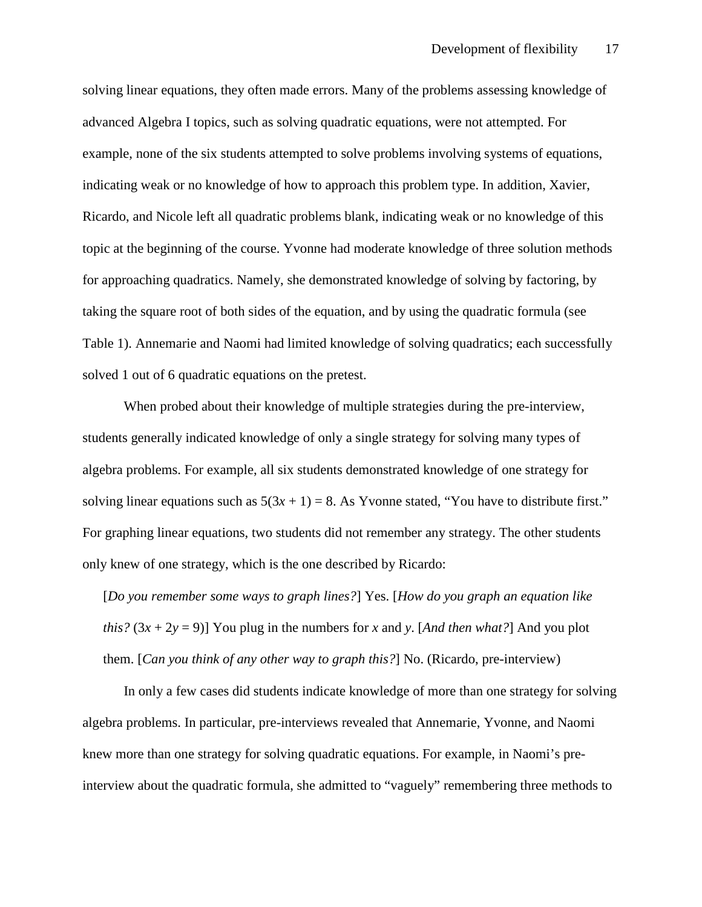solving linear equations, they often made errors. Many of the problems assessing knowledge of advanced Algebra I topics, such as solving quadratic equations, were not attempted. For example, none of the six students attempted to solve problems involving systems of equations, indicating weak or no knowledge of how to approach this problem type. In addition, Xavier, Ricardo, and Nicole left all quadratic problems blank, indicating weak or no knowledge of this topic at the beginning of the course. Yvonne had moderate knowledge of three solution methods for approaching quadratics. Namely, she demonstrated knowledge of solving by factoring, by taking the square root of both sides of the equation, and by using the quadratic formula (see Table 1). Annemarie and Naomi had limited knowledge of solving quadratics; each successfully solved 1 out of 6 quadratic equations on the pretest.

When probed about their knowledge of multiple strategies during the pre-interview, students generally indicated knowledge of only a single strategy for solving many types of algebra problems. For example, all six students demonstrated knowledge of one strategy for solving linear equations such as  $5(3x + 1) = 8$ . As Yvonne stated, "You have to distribute first." For graphing linear equations, two students did not remember any strategy. The other students only knew of one strategy, which is the one described by Ricardo:

[*Do you remember some ways to graph lines?*] Yes. [*How do you graph an equation like this?*  $(3x + 2y = 9)$ ] You plug in the numbers for *x* and *y*. [*And then what?*] And you plot them. [*Can you think of any other way to graph this?*] No. (Ricardo, pre-interview)

In only a few cases did students indicate knowledge of more than one strategy for solving algebra problems. In particular, pre-interviews revealed that Annemarie, Yvonne, and Naomi knew more than one strategy for solving quadratic equations. For example, in Naomi's preinterview about the quadratic formula, she admitted to "vaguely" remembering three methods to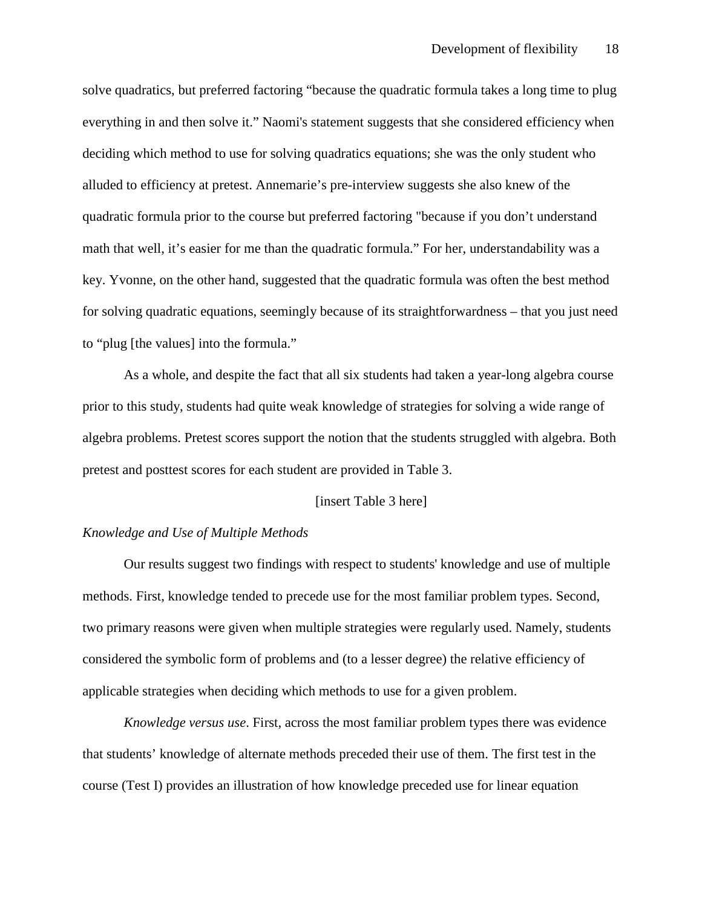solve quadratics, but preferred factoring "because the quadratic formula takes a long time to plug everything in and then solve it." Naomi's statement suggests that she considered efficiency when deciding which method to use for solving quadratics equations; she was the only student who alluded to efficiency at pretest. Annemarie's pre-interview suggests she also knew of the quadratic formula prior to the course but preferred factoring "because if you don't understand math that well, it's easier for me than the quadratic formula." For her, understandability was a key. Yvonne, on the other hand, suggested that the quadratic formula was often the best method for solving quadratic equations, seemingly because of its straightforwardness – that you just need to "plug [the values] into the formula."

As a whole, and despite the fact that all six students had taken a year-long algebra course prior to this study, students had quite weak knowledge of strategies for solving a wide range of algebra problems. Pretest scores support the notion that the students struggled with algebra. Both pretest and posttest scores for each student are provided in Table 3.

## [insert Table 3 here]

#### *Knowledge and Use of Multiple Methods*

Our results suggest two findings with respect to students' knowledge and use of multiple methods. First, knowledge tended to precede use for the most familiar problem types. Second, two primary reasons were given when multiple strategies were regularly used. Namely, students considered the symbolic form of problems and (to a lesser degree) the relative efficiency of applicable strategies when deciding which methods to use for a given problem.

*Knowledge versus use*. First, across the most familiar problem types there was evidence that students' knowledge of alternate methods preceded their use of them. The first test in the course (Test I) provides an illustration of how knowledge preceded use for linear equation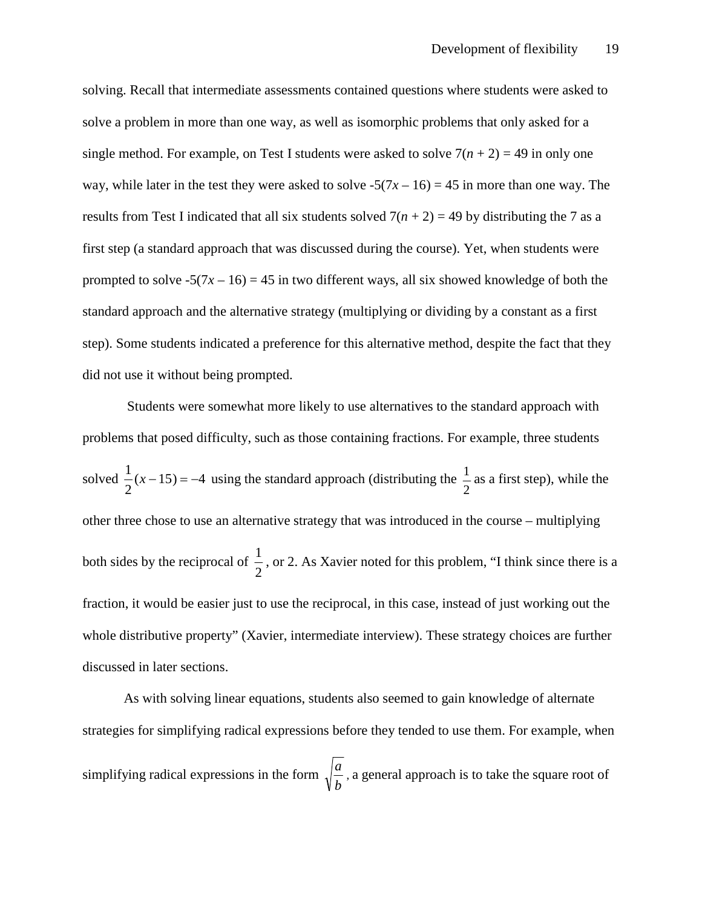solving. Recall that intermediate assessments contained questions where students were asked to solve a problem in more than one way, as well as isomorphic problems that only asked for a single method. For example, on Test I students were asked to solve  $7(n + 2) = 49$  in only one way, while later in the test they were asked to solve  $-5(7x - 16) = 45$  in more than one way. The results from Test I indicated that all six students solved  $7(n + 2) = 49$  by distributing the 7 as a first step (a standard approach that was discussed during the course). Yet, when students were prompted to solve  $-5(7x - 16) = 45$  in two different ways, all six showed knowledge of both the standard approach and the alternative strategy (multiplying or dividing by a constant as a first step). Some students indicated a preference for this alternative method, despite the fact that they did not use it without being prompted.

Students were somewhat more likely to use alternatives to the standard approach with problems that posed difficulty, such as those containing fractions. For example, three students solved  $\frac{1}{2}$ 2  $(x-15) = -4$  using the standard approach (distributing the  $\frac{1}{x}$ ) 2 as a first step), while the other three chose to use an alternative strategy that was introduced in the course – multiplying both sides by the reciprocal of  $\frac{1}{2}$ , 2 , or 2. As Xavier noted for this problem, "I think since there is a fraction, it would be easier just to use the reciprocal, in this case, instead of just working out the whole distributive property" (Xavier, intermediate interview). These strategy choices are further discussed in later sections.

As with solving linear equations, students also seemed to gain knowledge of alternate strategies for simplifying radical expressions before they tended to use them. For example, when simplifying radical expressions in the form, *b*  $\frac{a}{b}$ , a general approach is to take the square root of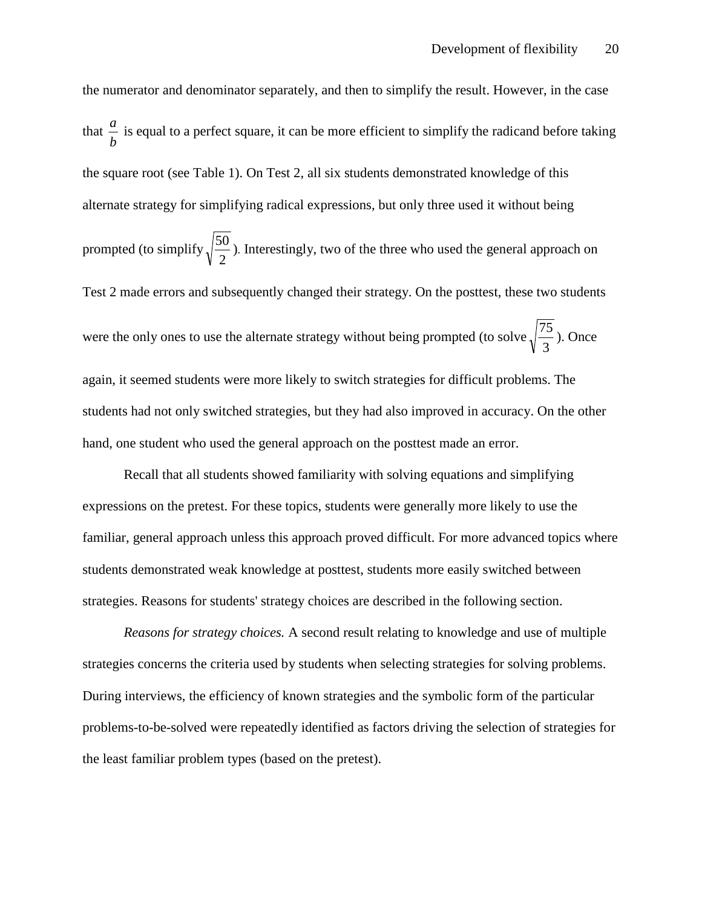the numerator and denominator separately, and then to simplify the result. However, in the case that *b*  $\frac{a}{b}$  is equal to a perfect square, it can be more efficient to simplify the radicand before taking the square root (see Table 1). On Test 2, all six students demonstrated knowledge of this alternate strategy for simplifying radical expressions, but only three used it without being prompted (to simplify 2  $\frac{50}{2}$ ). Interestingly, two of the three who used the general approach on Test 2 made errors and subsequently changed their strategy. On the posttest, these two students were the only ones to use the alternate strategy without being prompted (to solve, 3  $\frac{75}{2}$ ). Once again, it seemed students were more likely to switch strategies for difficult problems. The students had not only switched strategies, but they had also improved in accuracy. On the other hand, one student who used the general approach on the posttest made an error.

Recall that all students showed familiarity with solving equations and simplifying expressions on the pretest. For these topics, students were generally more likely to use the familiar, general approach unless this approach proved difficult. For more advanced topics where students demonstrated weak knowledge at posttest, students more easily switched between strategies. Reasons for students' strategy choices are described in the following section.

*Reasons for strategy choices.* A second result relating to knowledge and use of multiple strategies concerns the criteria used by students when selecting strategies for solving problems. During interviews, the efficiency of known strategies and the symbolic form of the particular problems-to-be-solved were repeatedly identified as factors driving the selection of strategies for the least familiar problem types (based on the pretest).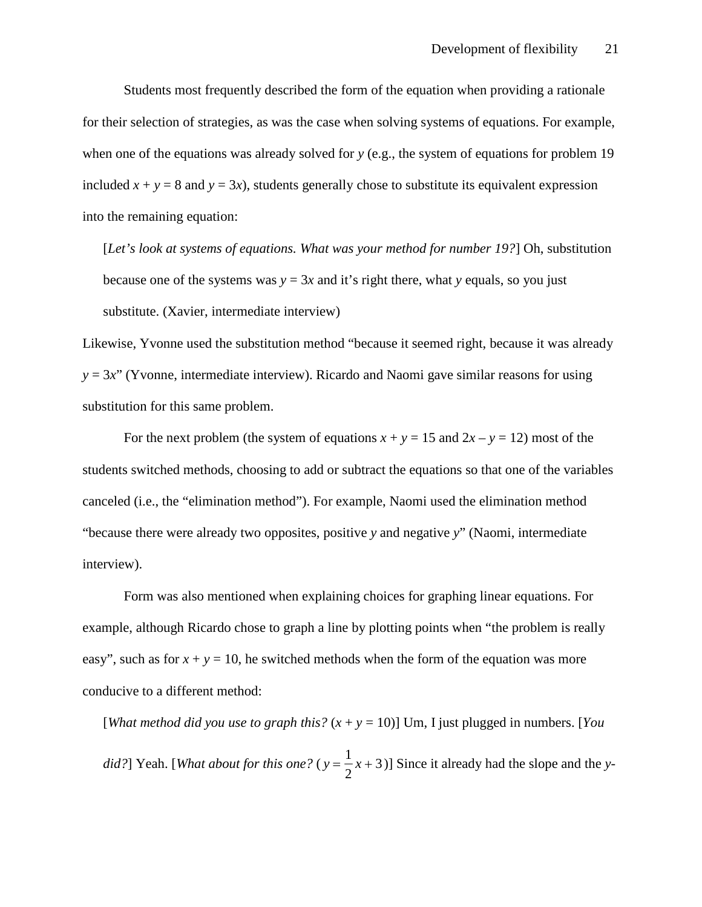Students most frequently described the form of the equation when providing a rationale for their selection of strategies, as was the case when solving systems of equations. For example, when one of the equations was already solved for *y* (e.g., the system of equations for problem 19 included  $x + y = 8$  and  $y = 3x$ ), students generally chose to substitute its equivalent expression into the remaining equation:

[*Let's look at systems of equations. What was your method for number 19?*] Oh, substitution because one of the systems was  $y = 3x$  and it's right there, what y equals, so you just substitute. (Xavier, intermediate interview)

Likewise, Yvonne used the substitution method "because it seemed right, because it was already  $y = 3x$ " (Yvonne, intermediate interview). Ricardo and Naomi gave similar reasons for using substitution for this same problem.

For the next problem (the system of equations  $x + y = 15$  and  $2x - y = 12$ ) most of the students switched methods, choosing to add or subtract the equations so that one of the variables canceled (i.e., the "elimination method"). For example, Naomi used the elimination method "because there were already two opposites, positive *y* and negative *y*" (Naomi, intermediate interview).

Form was also mentioned when explaining choices for graphing linear equations. For example, although Ricardo chose to graph a line by plotting points when "the problem is really easy", such as for  $x + y = 10$ , he switched methods when the form of the equation was more conducive to a different method:

[*What method did you use to graph this?* (*x* + *y* = 10)] Um, I just plugged in numbers. [*You* did?] Yeah. [*What about for this one?* ( $y = \frac{1}{2}$ 2  $(x + 3)$ ] Since it already had the slope and the *y*-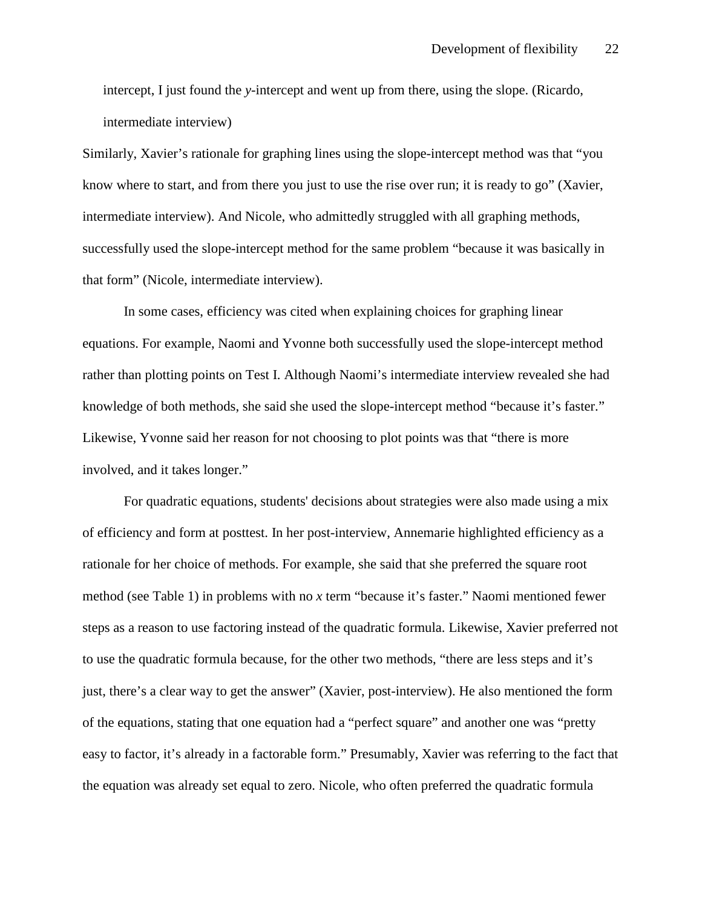intercept, I just found the *y*-intercept and went up from there, using the slope. (Ricardo, intermediate interview)

Similarly, Xavier's rationale for graphing lines using the slope-intercept method was that "you know where to start, and from there you just to use the rise over run; it is ready to go" (Xavier, intermediate interview). And Nicole, who admittedly struggled with all graphing methods, successfully used the slope-intercept method for the same problem "because it was basically in that form" (Nicole, intermediate interview).

In some cases, efficiency was cited when explaining choices for graphing linear equations. For example, Naomi and Yvonne both successfully used the slope-intercept method rather than plotting points on Test I. Although Naomi's intermediate interview revealed she had knowledge of both methods, she said she used the slope-intercept method "because it's faster." Likewise, Yvonne said her reason for not choosing to plot points was that "there is more involved, and it takes longer."

For quadratic equations, students' decisions about strategies were also made using a mix of efficiency and form at posttest. In her post-interview, Annemarie highlighted efficiency as a rationale for her choice of methods. For example, she said that she preferred the square root method (see Table 1) in problems with no *x* term "because it's faster." Naomi mentioned fewer steps as a reason to use factoring instead of the quadratic formula. Likewise, Xavier preferred not to use the quadratic formula because, for the other two methods, "there are less steps and it's just, there's a clear way to get the answer" (Xavier, post-interview). He also mentioned the form of the equations, stating that one equation had a "perfect square" and another one was "pretty easy to factor, it's already in a factorable form." Presumably, Xavier was referring to the fact that the equation was already set equal to zero. Nicole, who often preferred the quadratic formula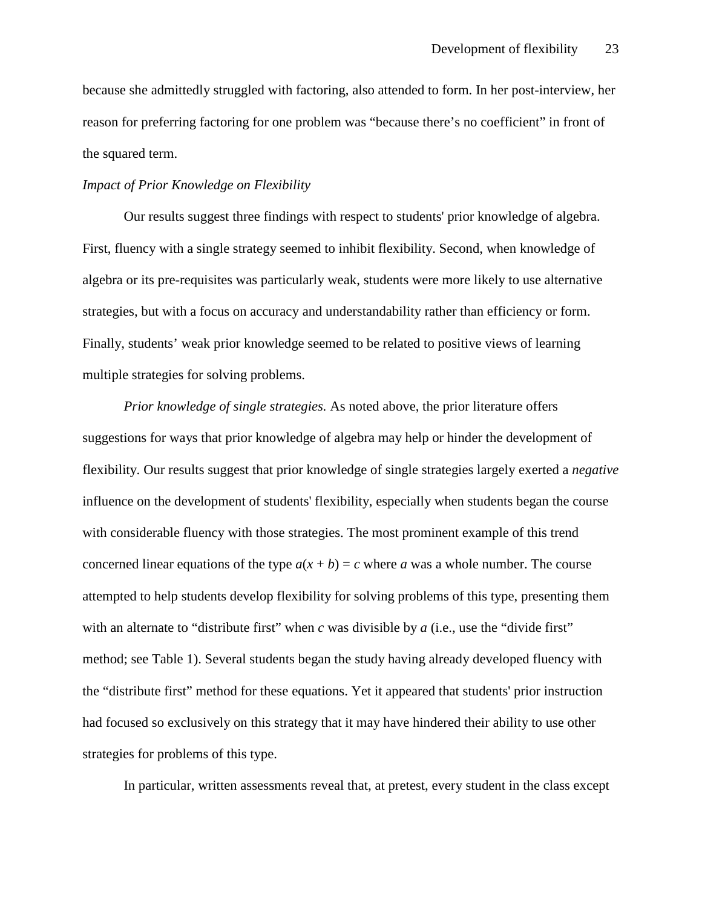because she admittedly struggled with factoring, also attended to form. In her post-interview, her reason for preferring factoring for one problem was "because there's no coefficient" in front of the squared term.

## *Impact of Prior Knowledge on Flexibility*

Our results suggest three findings with respect to students' prior knowledge of algebra. First, fluency with a single strategy seemed to inhibit flexibility. Second, when knowledge of algebra or its pre-requisites was particularly weak, students were more likely to use alternative strategies, but with a focus on accuracy and understandability rather than efficiency or form. Finally, students' weak prior knowledge seemed to be related to positive views of learning multiple strategies for solving problems.

*Prior knowledge of single strategies.* As noted above, the prior literature offers suggestions for ways that prior knowledge of algebra may help or hinder the development of flexibility. Our results suggest that prior knowledge of single strategies largely exerted a *negative* influence on the development of students' flexibility, especially when students began the course with considerable fluency with those strategies. The most prominent example of this trend concerned linear equations of the type  $a(x + b) = c$  where *a* was a whole number. The course attempted to help students develop flexibility for solving problems of this type, presenting them with an alternate to "distribute first" when *c* was divisible by *a* (i.e., use the "divide first" method; see Table 1). Several students began the study having already developed fluency with the "distribute first" method for these equations. Yet it appeared that students' prior instruction had focused so exclusively on this strategy that it may have hindered their ability to use other strategies for problems of this type.

In particular, written assessments reveal that, at pretest, every student in the class except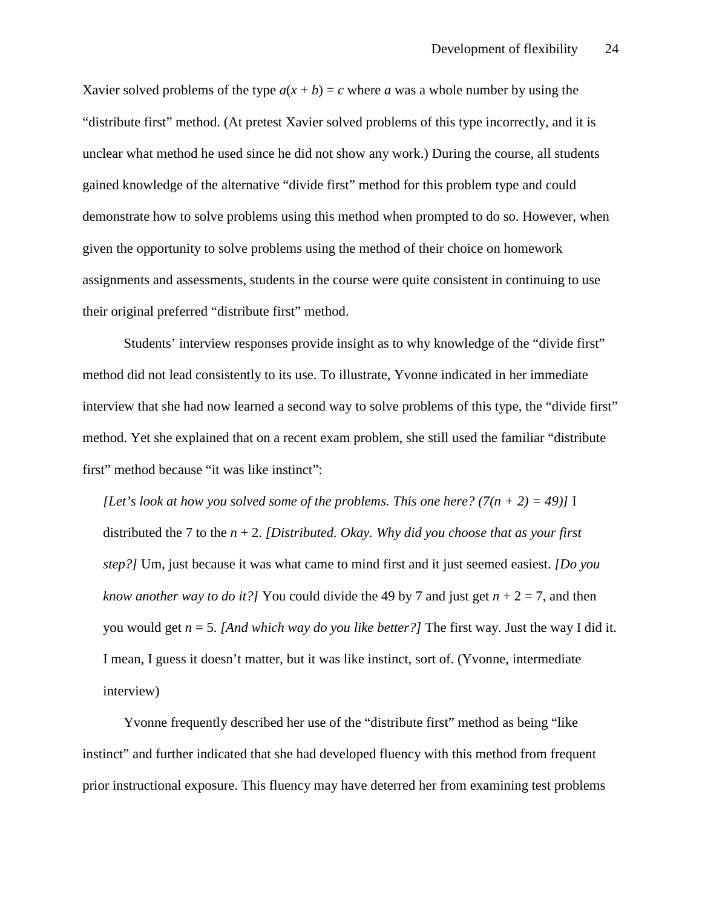Xavier solved problems of the type  $a(x + b) = c$  where *a* was a whole number by using the "distribute first" method. (At pretest Xavier solved problems of this type incorrectly, and it is unclear what method he used since he did not show any work.) During the course, all students gained knowledge of the alternative "divide first" method for this problem type and could demonstrate how to solve problems using this method when prompted to do so. However, when given the opportunity to solve problems using the method of their choice on homework assignments and assessments, students in the course were quite consistent in continuing to use their original preferred "distribute first" method.

Students' interview responses provide insight as to why knowledge of the "divide first" method did not lead consistently to its use. To illustrate, Yvonne indicated in her immediate interview that she had now learned a second way to solve problems of this type, the "divide first" method. Yet she explained that on a recent exam problem, she still used the familiar "distribute first" method because "it was like instinct":

*[Let's look at how you solved some of the problems. This one here?*  $(7(n + 2) = 49)$ *]* I distributed the 7 to the *n* + 2. *[Distributed. Okay. Why did you choose that as your first step?]* Um, just because it was what came to mind first and it just seemed easiest. *[Do you know another way to do it?* You could divide the 49 by 7 and just get  $n + 2 = 7$ , and then you would get *n* = 5. *[And which way do you like better?]* The first way. Just the way I did it. I mean, I guess it doesn't matter, but it was like instinct, sort of. (Yvonne, intermediate interview)

Yvonne frequently described her use of the "distribute first" method as being "like instinct" and further indicated that she had developed fluency with this method from frequent prior instructional exposure. This fluency may have deterred her from examining test problems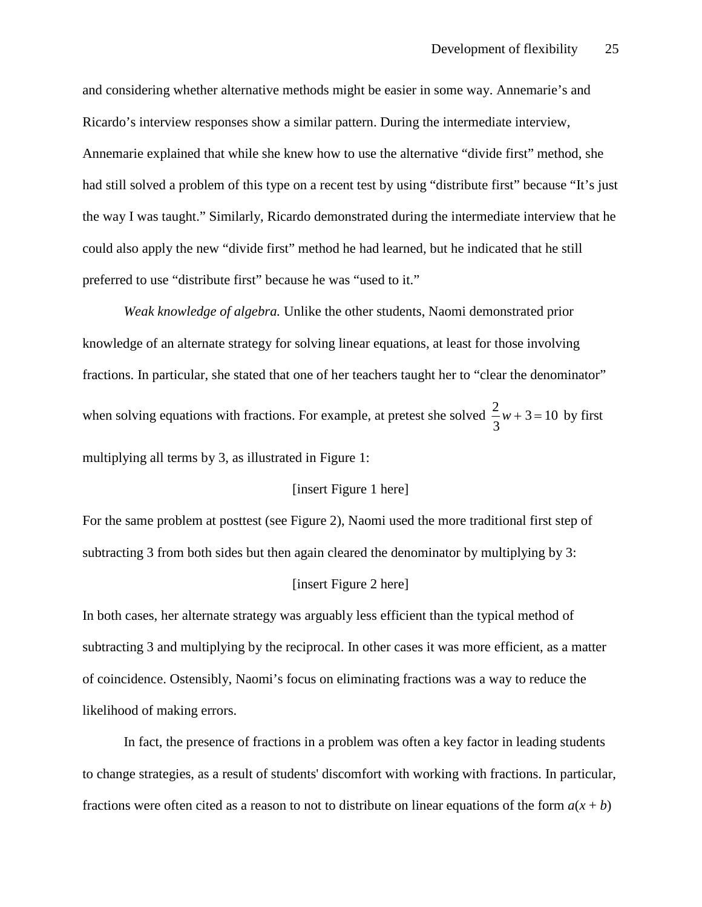and considering whether alternative methods might be easier in some way. Annemarie's and Ricardo's interview responses show a similar pattern. During the intermediate interview, Annemarie explained that while she knew how to use the alternative "divide first" method, she had still solved a problem of this type on a recent test by using "distribute first" because "It's just the way I was taught." Similarly, Ricardo demonstrated during the intermediate interview that he could also apply the new "divide first" method he had learned, but he indicated that he still preferred to use "distribute first" because he was "used to it."

*Weak knowledge of algebra.* Unlike the other students, Naomi demonstrated prior knowledge of an alternate strategy for solving linear equations, at least for those involving fractions. In particular, she stated that one of her teachers taught her to "clear the denominator" when solving equations with fractions. For example, at pretest she solved  $\frac{2}{3}$ 3  $w + 3 = 10$  by first multiplying all terms by 3, as illustrated in Figure 1:

## [insert Figure 1 here]

For the same problem at posttest (see Figure 2), Naomi used the more traditional first step of subtracting 3 from both sides but then again cleared the denominator by multiplying by 3:

#### [insert Figure 2 here]

In both cases, her alternate strategy was arguably less efficient than the typical method of subtracting 3 and multiplying by the reciprocal. In other cases it was more efficient, as a matter of coincidence. Ostensibly, Naomi's focus on eliminating fractions was a way to reduce the likelihood of making errors.

In fact, the presence of fractions in a problem was often a key factor in leading students to change strategies, as a result of students' discomfort with working with fractions. In particular, fractions were often cited as a reason to not to distribute on linear equations of the form  $a(x + b)$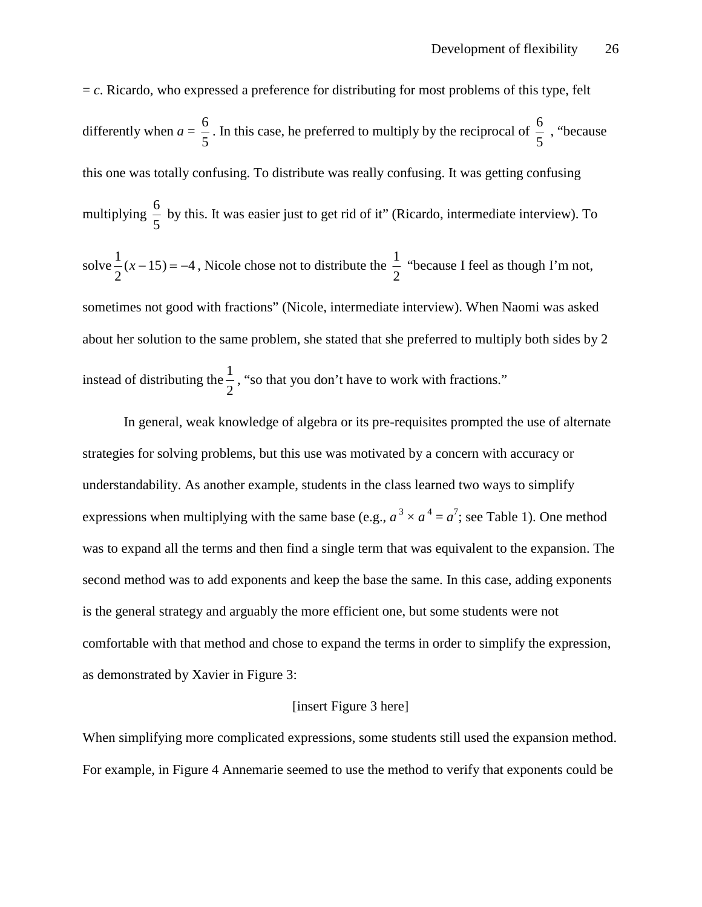$= c$ . Ricardo, who expressed a preference for distributing for most problems of this type, felt differently when  $a = \frac{6}{5}$ 5 . In this case, he preferred to multiply by the reciprocal of  $\frac{6}{7}$ , 5 , "because this one was totally confusing. To distribute was really confusing. It was getting confusing multiplying  $\frac{6}{5}$ 5 by this. It was easier just to get rid of it" (Ricardo, intermediate interview). To solve  $\frac{1}{2}$ 2  $(x-15) = -4$ , Nicole chose not to distribute the  $\frac{1}{2}$ 2 "because I feel as though I'm not, sometimes not good with fractions" (Nicole, intermediate interview). When Naomi was asked about her solution to the same problem, she stated that she preferred to multiply both sides by 2 instead of distributing the  $\frac{1}{2}$ , 2 , "so that you don't have to work with fractions."

In general, weak knowledge of algebra or its pre-requisites prompted the use of alternate strategies for solving problems, but this use was motivated by a concern with accuracy or understandability. As another example, students in the class learned two ways to simplify expressions when multiplying with the same base (e.g.,  $a^3 \times a^4 = a^7$ ; see Table 1). One method was to expand all the terms and then find a single term that was equivalent to the expansion. The second method was to add exponents and keep the base the same. In this case, adding exponents is the general strategy and arguably the more efficient one, but some students were not comfortable with that method and chose to expand the terms in order to simplify the expression, as demonstrated by Xavier in Figure 3:

#### [insert Figure 3 here]

When simplifying more complicated expressions, some students still used the expansion method. For example, in Figure 4 Annemarie seemed to use the method to verify that exponents could be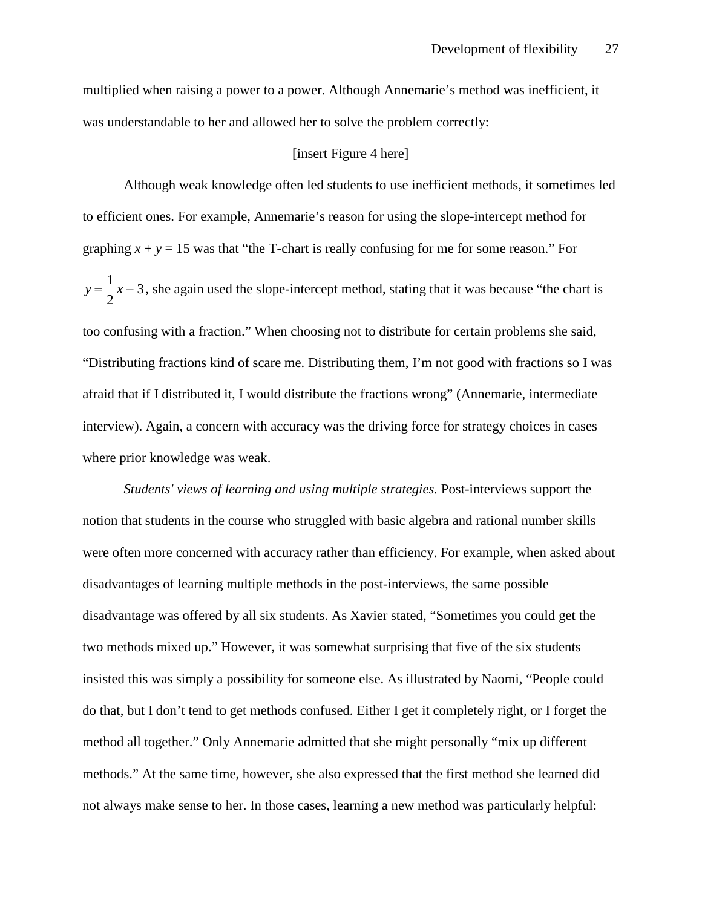multiplied when raising a power to a power. Although Annemarie's method was inefficient, it was understandable to her and allowed her to solve the problem correctly:

## [insert Figure 4 here]

Although weak knowledge often led students to use inefficient methods, it sometimes led to efficient ones. For example, Annemarie's reason for using the slope-intercept method for graphing  $x + y = 15$  was that "the T-chart is really confusing for me for some reason." For  $y = \frac{1}{2}$ 2  $x - 3$ , she again used the slope-intercept method, stating that it was because "the chart is too confusing with a fraction." When choosing not to distribute for certain problems she said, "Distributing fractions kind of scare me. Distributing them, I'm not good with fractions so I was afraid that if I distributed it, I would distribute the fractions wrong" (Annemarie, intermediate interview). Again, a concern with accuracy was the driving force for strategy choices in cases where prior knowledge was weak.

*Students' views of learning and using multiple strategies.* Post-interviews support the notion that students in the course who struggled with basic algebra and rational number skills were often more concerned with accuracy rather than efficiency. For example, when asked about disadvantages of learning multiple methods in the post-interviews, the same possible disadvantage was offered by all six students. As Xavier stated, "Sometimes you could get the two methods mixed up." However, it was somewhat surprising that five of the six students insisted this was simply a possibility for someone else. As illustrated by Naomi, "People could do that, but I don't tend to get methods confused. Either I get it completely right, or I forget the method all together." Only Annemarie admitted that she might personally "mix up different methods." At the same time, however, she also expressed that the first method she learned did not always make sense to her. In those cases, learning a new method was particularly helpful: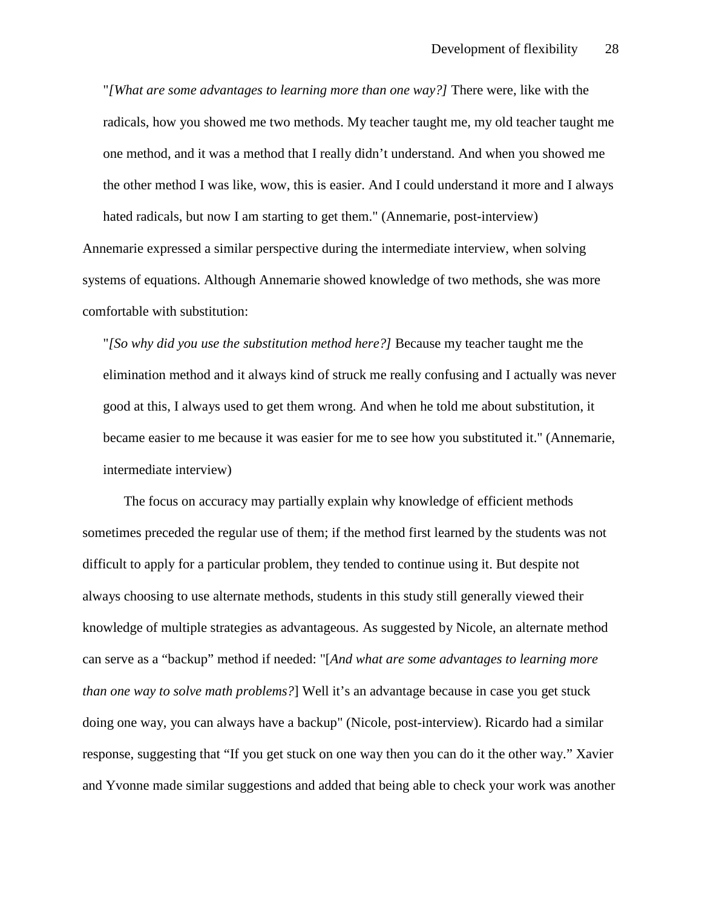"*[What are some advantages to learning more than one way?]* There were, like with the radicals, how you showed me two methods. My teacher taught me, my old teacher taught me one method, and it was a method that I really didn't understand. And when you showed me the other method I was like, wow, this is easier. And I could understand it more and I always hated radicals, but now I am starting to get them." (Annemarie, post-interview) Annemarie expressed a similar perspective during the intermediate interview, when solving

systems of equations. Although Annemarie showed knowledge of two methods, she was more comfortable with substitution:

"*[So why did you use the substitution method here?]* Because my teacher taught me the elimination method and it always kind of struck me really confusing and I actually was never good at this, I always used to get them wrong. And when he told me about substitution, it became easier to me because it was easier for me to see how you substituted it." (Annemarie, intermediate interview)

The focus on accuracy may partially explain why knowledge of efficient methods sometimes preceded the regular use of them; if the method first learned by the students was not difficult to apply for a particular problem, they tended to continue using it. But despite not always choosing to use alternate methods, students in this study still generally viewed their knowledge of multiple strategies as advantageous. As suggested by Nicole, an alternate method can serve as a "backup" method if needed: "[*And what are some advantages to learning more than one way to solve math problems?*] Well it's an advantage because in case you get stuck doing one way, you can always have a backup" (Nicole, post-interview). Ricardo had a similar response, suggesting that "If you get stuck on one way then you can do it the other way." Xavier and Yvonne made similar suggestions and added that being able to check your work was another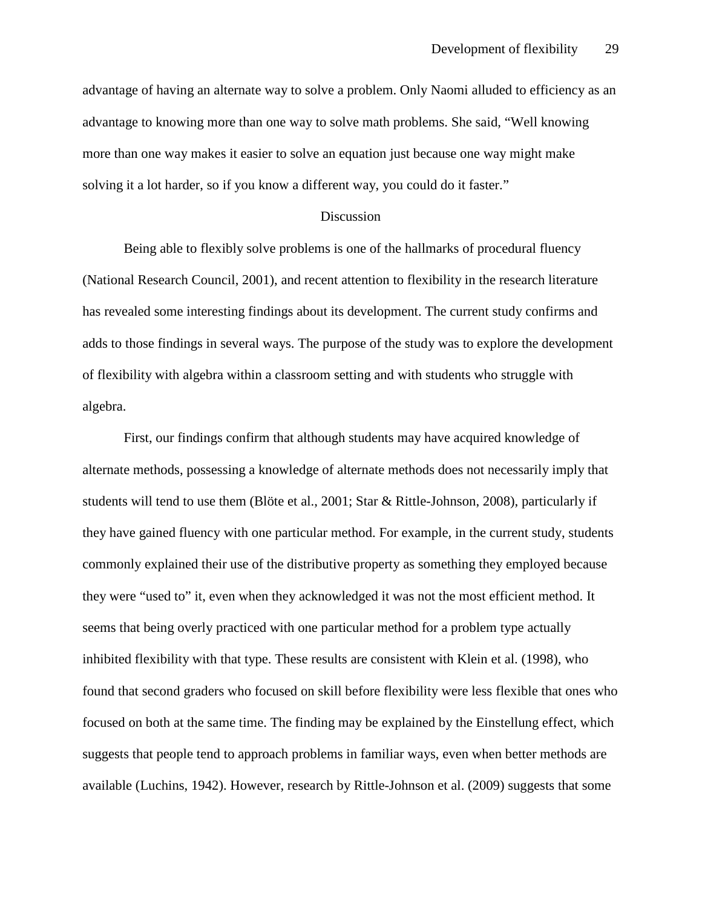advantage of having an alternate way to solve a problem. Only Naomi alluded to efficiency as an advantage to knowing more than one way to solve math problems. She said, "Well knowing more than one way makes it easier to solve an equation just because one way might make solving it a lot harder, so if you know a different way, you could do it faster."

## Discussion

Being able to flexibly solve problems is one of the hallmarks of procedural fluency (National Research Council, 2001), and recent attention to flexibility in the research literature has revealed some interesting findings about its development. The current study confirms and adds to those findings in several ways. The purpose of the study was to explore the development of flexibility with algebra within a classroom setting and with students who struggle with algebra.

First, our findings confirm that although students may have acquired knowledge of alternate methods, possessing a knowledge of alternate methods does not necessarily imply that students will tend to use them (Blöte et al., 2001; Star & Rittle-Johnson, 2008), particularly if they have gained fluency with one particular method. For example, in the current study, students commonly explained their use of the distributive property as something they employed because they were "used to" it, even when they acknowledged it was not the most efficient method. It seems that being overly practiced with one particular method for a problem type actually inhibited flexibility with that type. These results are consistent with Klein et al. (1998), who found that second graders who focused on skill before flexibility were less flexible that ones who focused on both at the same time. The finding may be explained by the Einstellung effect, which suggests that people tend to approach problems in familiar ways, even when better methods are available (Luchins, 1942). However, research by Rittle-Johnson et al. (2009) suggests that some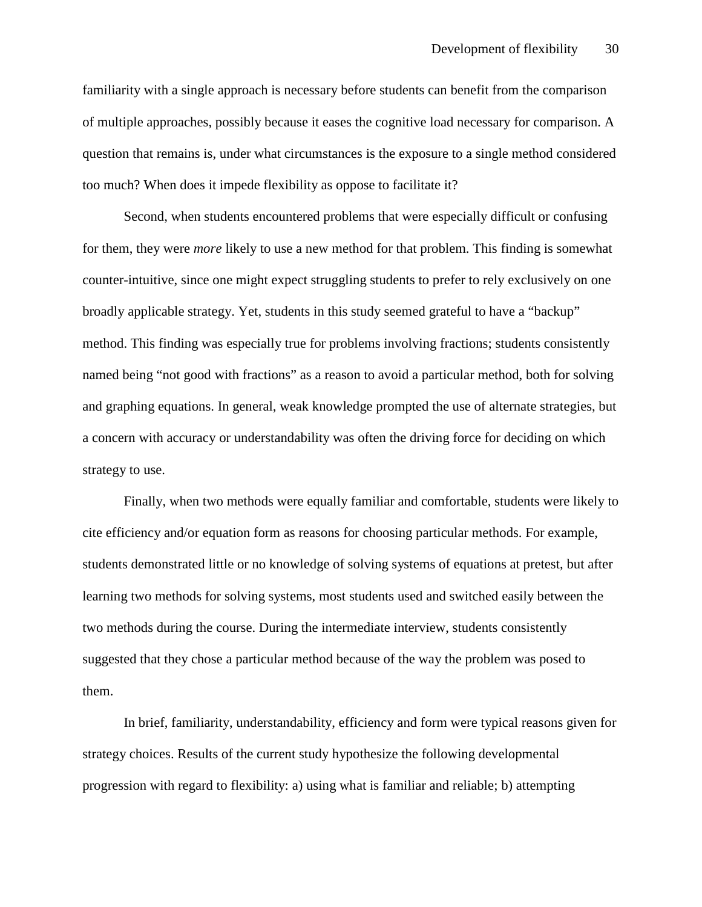familiarity with a single approach is necessary before students can benefit from the comparison of multiple approaches, possibly because it eases the cognitive load necessary for comparison. A question that remains is, under what circumstances is the exposure to a single method considered too much? When does it impede flexibility as oppose to facilitate it?

Second, when students encountered problems that were especially difficult or confusing for them, they were *more* likely to use a new method for that problem. This finding is somewhat counter-intuitive, since one might expect struggling students to prefer to rely exclusively on one broadly applicable strategy. Yet, students in this study seemed grateful to have a "backup" method. This finding was especially true for problems involving fractions; students consistently named being "not good with fractions" as a reason to avoid a particular method, both for solving and graphing equations. In general, weak knowledge prompted the use of alternate strategies, but a concern with accuracy or understandability was often the driving force for deciding on which strategy to use.

Finally, when two methods were equally familiar and comfortable, students were likely to cite efficiency and/or equation form as reasons for choosing particular methods. For example, students demonstrated little or no knowledge of solving systems of equations at pretest, but after learning two methods for solving systems, most students used and switched easily between the two methods during the course. During the intermediate interview, students consistently suggested that they chose a particular method because of the way the problem was posed to them.

In brief, familiarity, understandability, efficiency and form were typical reasons given for strategy choices. Results of the current study hypothesize the following developmental progression with regard to flexibility: a) using what is familiar and reliable; b) attempting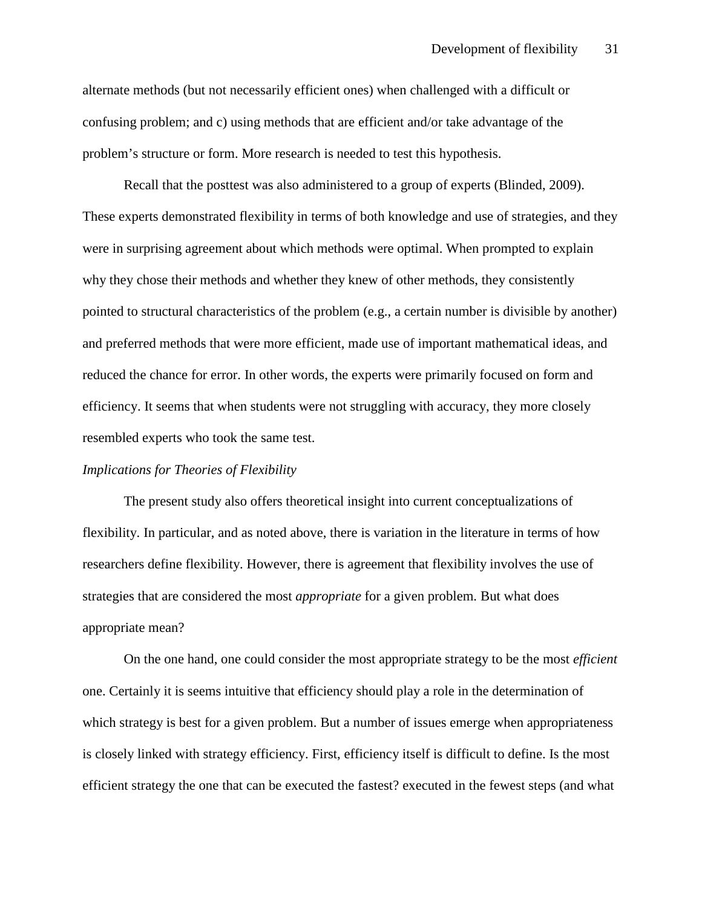alternate methods (but not necessarily efficient ones) when challenged with a difficult or confusing problem; and c) using methods that are efficient and/or take advantage of the problem's structure or form. More research is needed to test this hypothesis.

Recall that the posttest was also administered to a group of experts (Blinded, 2009). These experts demonstrated flexibility in terms of both knowledge and use of strategies, and they were in surprising agreement about which methods were optimal. When prompted to explain why they chose their methods and whether they knew of other methods, they consistently pointed to structural characteristics of the problem (e.g., a certain number is divisible by another) and preferred methods that were more efficient, made use of important mathematical ideas, and reduced the chance for error. In other words, the experts were primarily focused on form and efficiency. It seems that when students were not struggling with accuracy, they more closely resembled experts who took the same test.

## *Implications for Theories of Flexibility*

The present study also offers theoretical insight into current conceptualizations of flexibility. In particular, and as noted above, there is variation in the literature in terms of how researchers define flexibility. However, there is agreement that flexibility involves the use of strategies that are considered the most *appropriate* for a given problem. But what does appropriate mean?

On the one hand, one could consider the most appropriate strategy to be the most *efficient* one. Certainly it is seems intuitive that efficiency should play a role in the determination of which strategy is best for a given problem. But a number of issues emerge when appropriateness is closely linked with strategy efficiency. First, efficiency itself is difficult to define. Is the most efficient strategy the one that can be executed the fastest? executed in the fewest steps (and what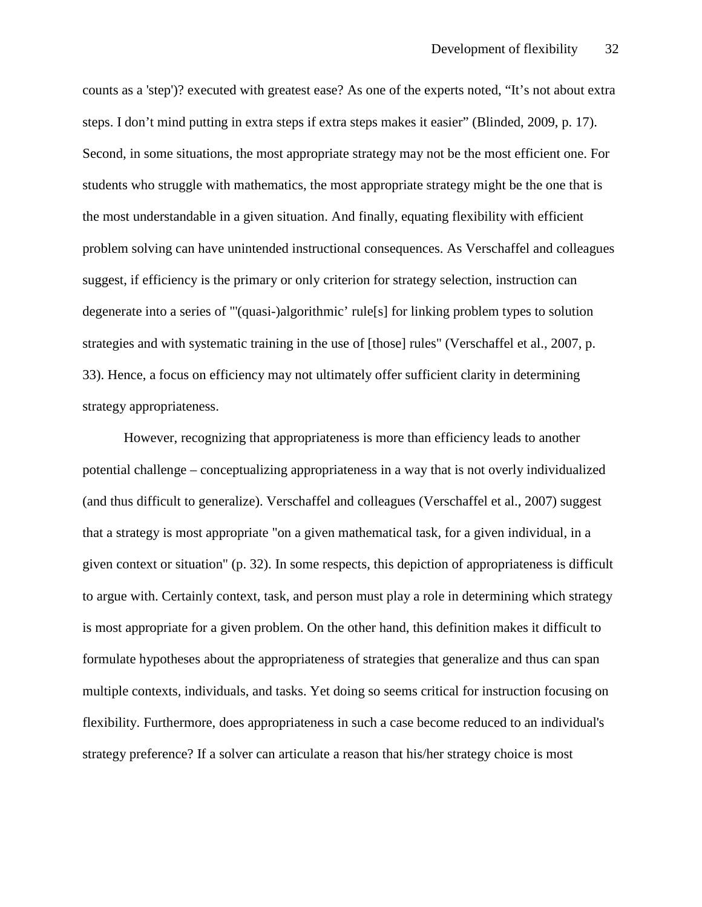counts as a 'step')? executed with greatest ease? As one of the experts noted, "It's not about extra steps. I don't mind putting in extra steps if extra steps makes it easier" (Blinded, 2009, p. 17). Second, in some situations, the most appropriate strategy may not be the most efficient one. For students who struggle with mathematics, the most appropriate strategy might be the one that is the most understandable in a given situation. And finally, equating flexibility with efficient problem solving can have unintended instructional consequences. As Verschaffel and colleagues suggest, if efficiency is the primary or only criterion for strategy selection, instruction can degenerate into a series of "'(quasi-)algorithmic' rule[s] for linking problem types to solution strategies and with systematic training in the use of [those] rules" (Verschaffel et al., 2007, p. 33). Hence, a focus on efficiency may not ultimately offer sufficient clarity in determining strategy appropriateness.

However, recognizing that appropriateness is more than efficiency leads to another potential challenge – conceptualizing appropriateness in a way that is not overly individualized (and thus difficult to generalize). Verschaffel and colleagues (Verschaffel et al., 2007) suggest that a strategy is most appropriate "on a given mathematical task, for a given individual, in a given context or situation" (p. 32). In some respects, this depiction of appropriateness is difficult to argue with. Certainly context, task, and person must play a role in determining which strategy is most appropriate for a given problem. On the other hand, this definition makes it difficult to formulate hypotheses about the appropriateness of strategies that generalize and thus can span multiple contexts, individuals, and tasks. Yet doing so seems critical for instruction focusing on flexibility. Furthermore, does appropriateness in such a case become reduced to an individual's strategy preference? If a solver can articulate a reason that his/her strategy choice is most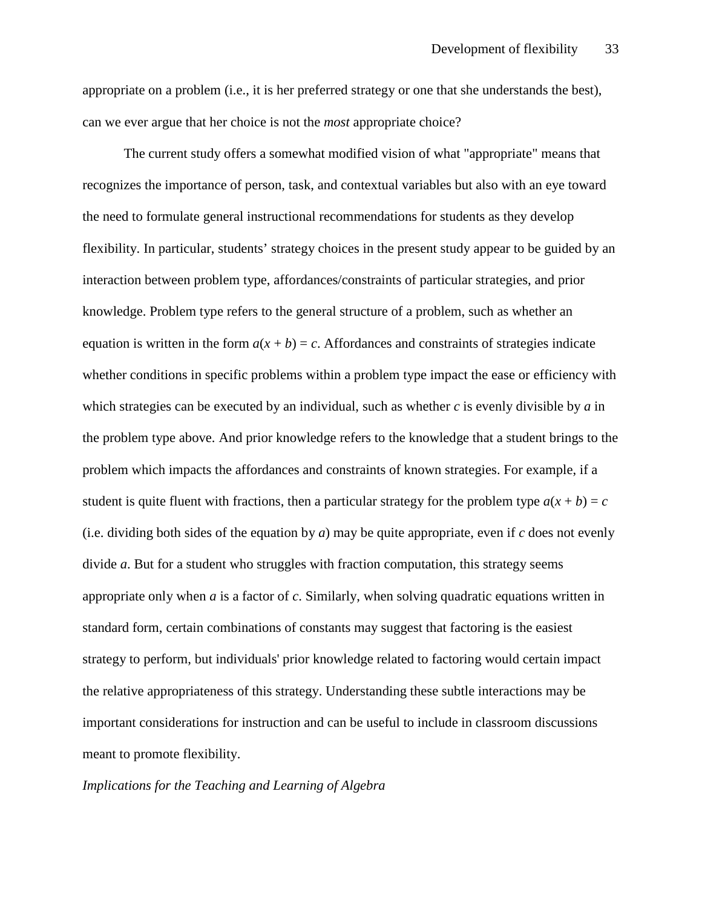appropriate on a problem (i.e., it is her preferred strategy or one that she understands the best), can we ever argue that her choice is not the *most* appropriate choice?

The current study offers a somewhat modified vision of what "appropriate" means that recognizes the importance of person, task, and contextual variables but also with an eye toward the need to formulate general instructional recommendations for students as they develop flexibility. In particular, students' strategy choices in the present study appear to be guided by an interaction between problem type, affordances/constraints of particular strategies, and prior knowledge. Problem type refers to the general structure of a problem, such as whether an equation is written in the form  $a(x + b) = c$ . Affordances and constraints of strategies indicate whether conditions in specific problems within a problem type impact the ease or efficiency with which strategies can be executed by an individual, such as whether *c* is evenly divisible by *a* in the problem type above. And prior knowledge refers to the knowledge that a student brings to the problem which impacts the affordances and constraints of known strategies. For example, if a student is quite fluent with fractions, then a particular strategy for the problem type  $a(x + b) = c$ (i.e. dividing both sides of the equation by *a*) may be quite appropriate, even if *c* does not evenly divide *a*. But for a student who struggles with fraction computation, this strategy seems appropriate only when *a* is a factor of *c*. Similarly, when solving quadratic equations written in standard form, certain combinations of constants may suggest that factoring is the easiest strategy to perform, but individuals' prior knowledge related to factoring would certain impact the relative appropriateness of this strategy. Understanding these subtle interactions may be important considerations for instruction and can be useful to include in classroom discussions meant to promote flexibility.

## *Implications for the Teaching and Learning of Algebra*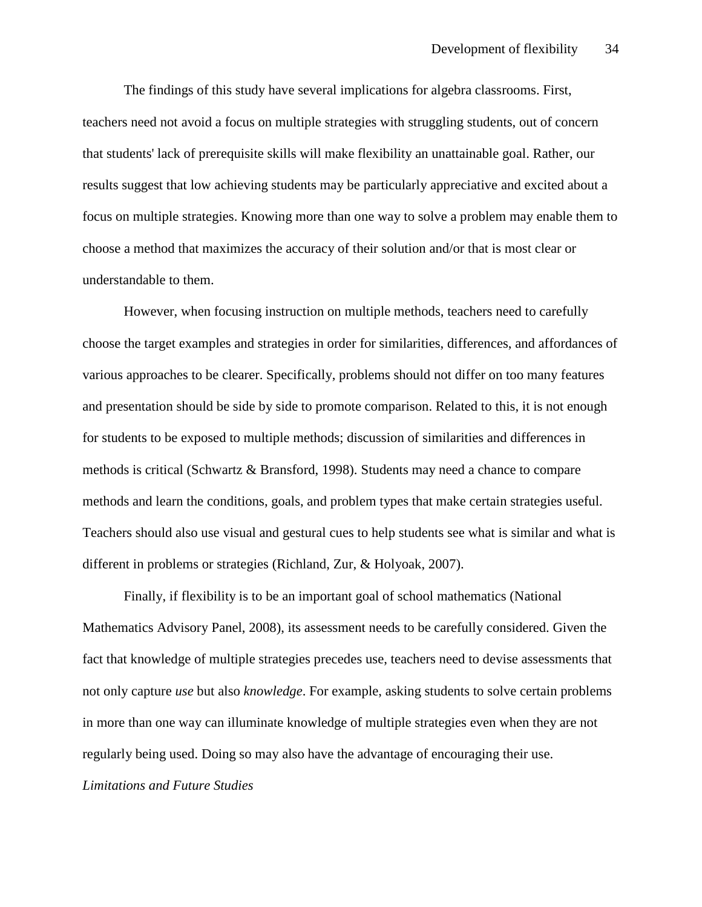The findings of this study have several implications for algebra classrooms. First, teachers need not avoid a focus on multiple strategies with struggling students, out of concern that students' lack of prerequisite skills will make flexibility an unattainable goal. Rather, our results suggest that low achieving students may be particularly appreciative and excited about a focus on multiple strategies. Knowing more than one way to solve a problem may enable them to choose a method that maximizes the accuracy of their solution and/or that is most clear or understandable to them.

However, when focusing instruction on multiple methods, teachers need to carefully choose the target examples and strategies in order for similarities, differences, and affordances of various approaches to be clearer. Specifically, problems should not differ on too many features and presentation should be side by side to promote comparison. Related to this, it is not enough for students to be exposed to multiple methods; discussion of similarities and differences in methods is critical (Schwartz & Bransford, 1998). Students may need a chance to compare methods and learn the conditions, goals, and problem types that make certain strategies useful. Teachers should also use visual and gestural cues to help students see what is similar and what is different in problems or strategies (Richland, Zur, & Holyoak, 2007).

Finally, if flexibility is to be an important goal of school mathematics (National Mathematics Advisory Panel, 2008), its assessment needs to be carefully considered. Given the fact that knowledge of multiple strategies precedes use, teachers need to devise assessments that not only capture *use* but also *knowledge*. For example, asking students to solve certain problems in more than one way can illuminate knowledge of multiple strategies even when they are not regularly being used. Doing so may also have the advantage of encouraging their use. *Limitations and Future Studies*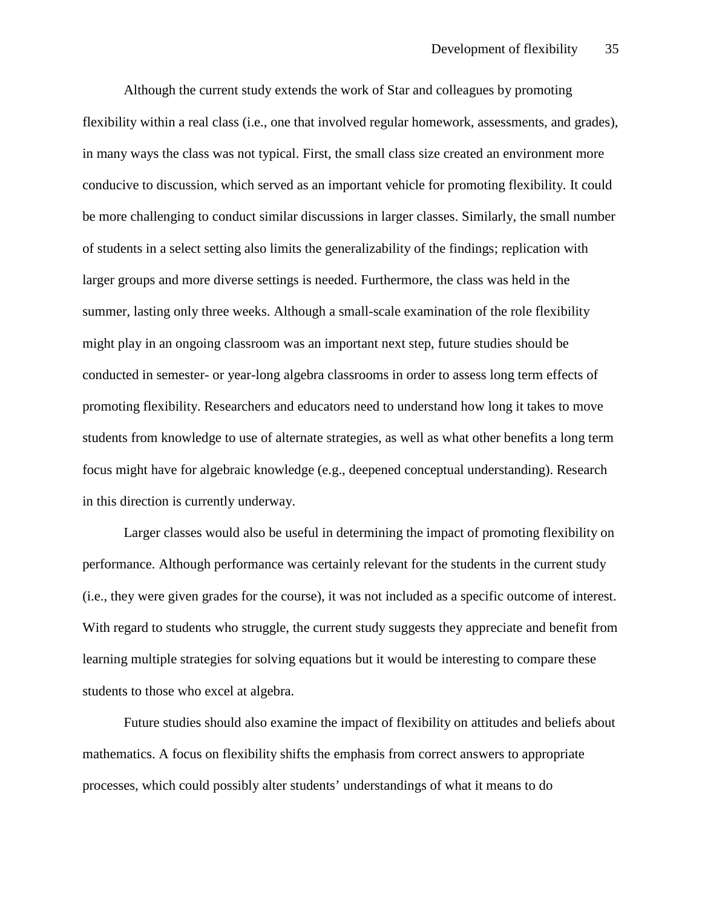Although the current study extends the work of Star and colleagues by promoting flexibility within a real class (i.e., one that involved regular homework, assessments, and grades), in many ways the class was not typical. First, the small class size created an environment more conducive to discussion, which served as an important vehicle for promoting flexibility. It could be more challenging to conduct similar discussions in larger classes. Similarly, the small number of students in a select setting also limits the generalizability of the findings; replication with larger groups and more diverse settings is needed. Furthermore, the class was held in the summer, lasting only three weeks. Although a small-scale examination of the role flexibility might play in an ongoing classroom was an important next step, future studies should be conducted in semester- or year-long algebra classrooms in order to assess long term effects of promoting flexibility. Researchers and educators need to understand how long it takes to move students from knowledge to use of alternate strategies, as well as what other benefits a long term focus might have for algebraic knowledge (e.g., deepened conceptual understanding). Research in this direction is currently underway.

Larger classes would also be useful in determining the impact of promoting flexibility on performance. Although performance was certainly relevant for the students in the current study (i.e., they were given grades for the course), it was not included as a specific outcome of interest. With regard to students who struggle, the current study suggests they appreciate and benefit from learning multiple strategies for solving equations but it would be interesting to compare these students to those who excel at algebra.

Future studies should also examine the impact of flexibility on attitudes and beliefs about mathematics. A focus on flexibility shifts the emphasis from correct answers to appropriate processes, which could possibly alter students' understandings of what it means to do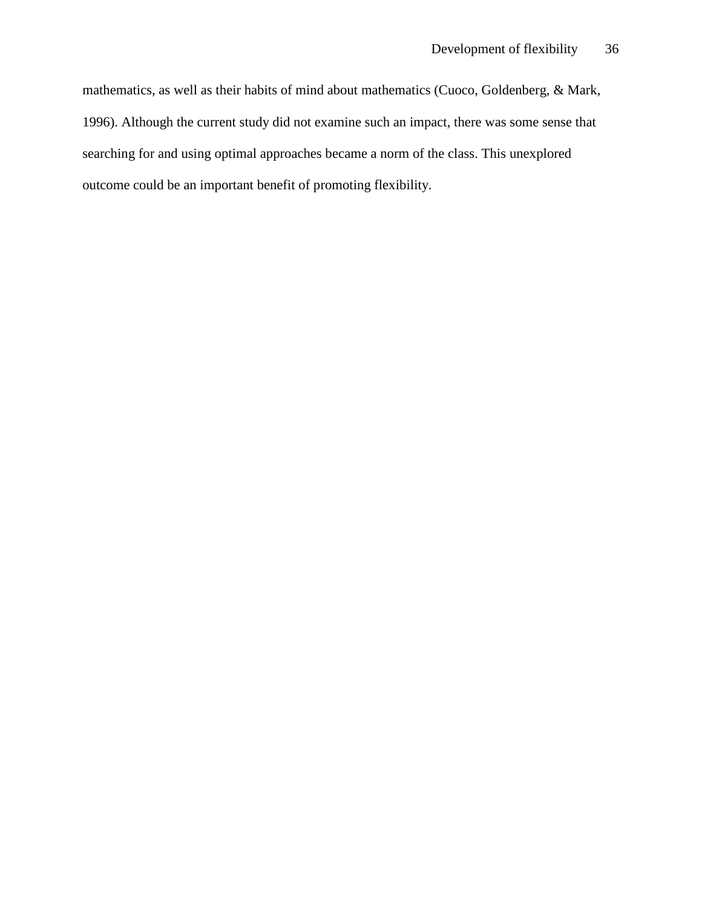mathematics, as well as their habits of mind about mathematics (Cuoco, Goldenberg, & Mark, 1996). Although the current study did not examine such an impact, there was some sense that searching for and using optimal approaches became a norm of the class. This unexplored outcome could be an important benefit of promoting flexibility.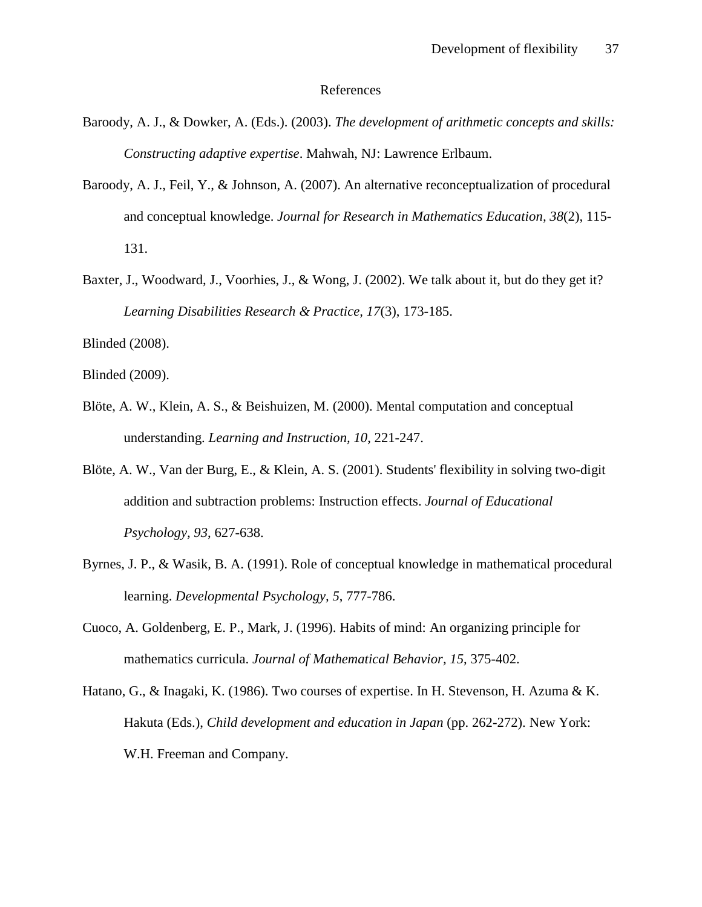#### References

- Baroody, A. J., & Dowker, A. (Eds.). (2003). *The development of arithmetic concepts and skills: Constructing adaptive expertise*. Mahwah, NJ: Lawrence Erlbaum.
- Baroody, A. J., Feil, Y., & Johnson, A. (2007). An alternative reconceptualization of procedural and conceptual knowledge. *Journal for Research in Mathematics Education, 38*(2), 115- 131.
- Baxter, J., Woodward, J., Voorhies, J., & Wong, J. (2002). We talk about it, but do they get it? *Learning Disabilities Research & Practice, 17*(3), 173-185.
- Blinded (2008).
- Blinded (2009).
- Blöte, A. W., Klein, A. S., & Beishuizen, M. (2000). Mental computation and conceptual understanding. *Learning and Instruction, 10*, 221-247.
- Blöte, A. W., Van der Burg, E., & Klein, A. S. (2001). Students' flexibility in solving two-digit addition and subtraction problems: Instruction effects. *Journal of Educational Psychology, 93*, 627-638.
- Byrnes, J. P., & Wasik, B. A. (1991). Role of conceptual knowledge in mathematical procedural learning. *Developmental Psychology, 5*, 777-786.
- Cuoco, A. Goldenberg, E. P., Mark, J. (1996). Habits of mind: An organizing principle for mathematics curricula. *Journal of Mathematical Behavior, 15*, 375-402.
- Hatano, G., & Inagaki, K. (1986). Two courses of expertise. In H. Stevenson, H. Azuma & K. Hakuta (Eds.), *Child development and education in Japan* (pp. 262-272). New York: W.H. Freeman and Company.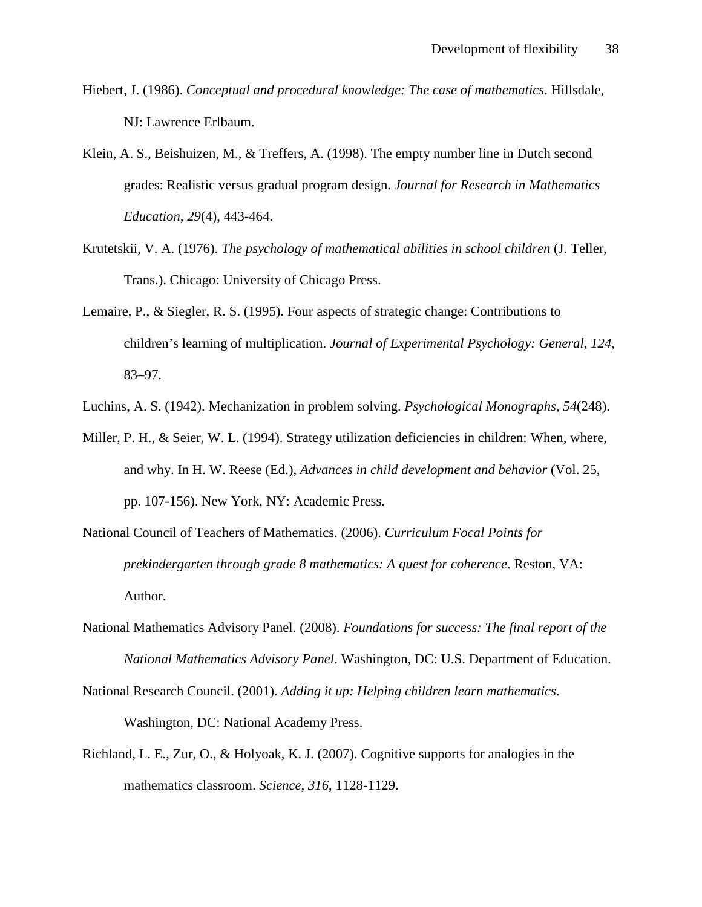- Hiebert, J. (1986). *Conceptual and procedural knowledge: The case of mathematics*. Hillsdale, NJ: Lawrence Erlbaum.
- Klein, A. S., Beishuizen, M., & Treffers, A. (1998). The empty number line in Dutch second grades: Realistic versus gradual program design. *Journal for Research in Mathematics Education, 29*(4), 443-464.
- Krutetskii, V. A. (1976). *The psychology of mathematical abilities in school children* (J. Teller, Trans.). Chicago: University of Chicago Press.
- Lemaire, P., & Siegler, R. S. (1995). Four aspects of strategic change: Contributions to children's learning of multiplication. *Journal of Experimental Psychology: General, 124,* 83–97.
- Luchins, A. S. (1942). Mechanization in problem solving. *Psychological Monographs, 54*(248).
- Miller, P. H., & Seier, W. L. (1994). Strategy utilization deficiencies in children: When, where, and why. In H. W. Reese (Ed.), *Advances in child development and behavior* (Vol. 25, pp. 107-156). New York, NY: Academic Press.
- National Council of Teachers of Mathematics. (2006). *Curriculum Focal Points for prekindergarten through grade 8 mathematics: A quest for coherence*. Reston, VA: Author.
- National Mathematics Advisory Panel. (2008). *Foundations for success: The final report of the National Mathematics Advisory Panel*. Washington, DC: U.S. Department of Education.
- National Research Council. (2001). *Adding it up: Helping children learn mathematics*. Washington, DC: National Academy Press.
- Richland, L. E., Zur, O., & Holyoak, K. J. (2007). Cognitive supports for analogies in the mathematics classroom. *Science, 316*, 1128-1129.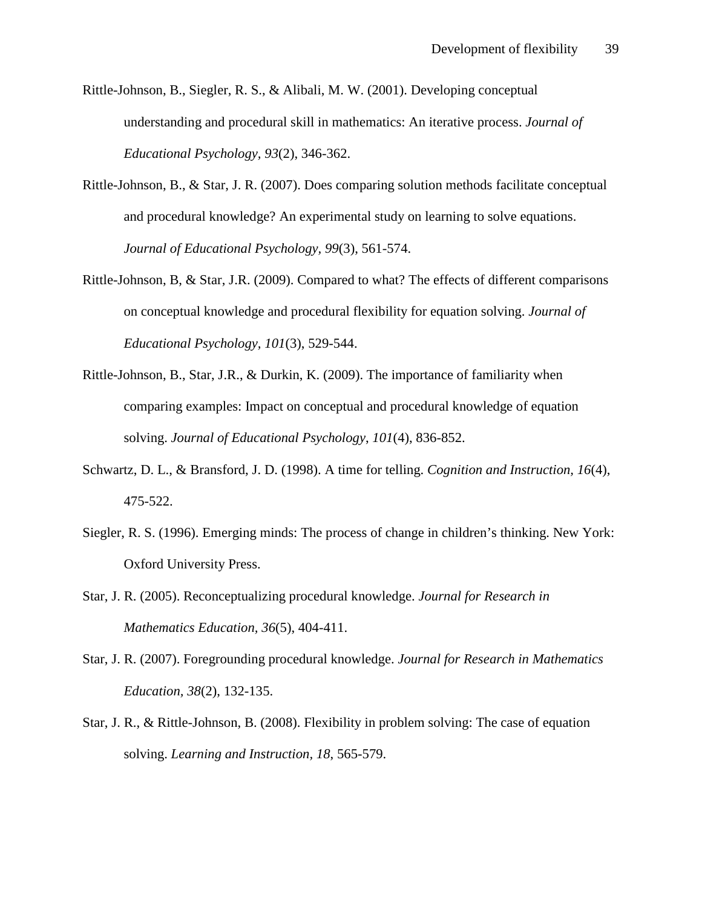- Rittle-Johnson, B., Siegler, R. S., & Alibali, M. W. (2001). Developing conceptual understanding and procedural skill in mathematics: An iterative process. *Journal of Educational Psychology, 93*(2), 346-362.
- Rittle-Johnson, B., & Star, J. R. (2007). Does comparing solution methods facilitate conceptual and procedural knowledge? An experimental study on learning to solve equations. *Journal of Educational Psychology, 99*(3), 561-574.
- Rittle-Johnson, B, & Star, J.R. (2009). Compared to what? The effects of different comparisons on conceptual knowledge and procedural flexibility for equation solving. *Journal of Educational Psychology, 101*(3), 529-544.
- Rittle-Johnson, B., Star, J.R., & Durkin, K. (2009). The importance of familiarity when comparing examples: Impact on conceptual and procedural knowledge of equation solving. *Journal of Educational Psychology*, *101*(4), 836-852.
- Schwartz, D. L., & Bransford, J. D. (1998). A time for telling. *Cognition and Instruction, 16*(4), 475-522.
- Siegler, R. S. (1996). Emerging minds: The process of change in children's thinking. New York: Oxford University Press.
- Star, J. R. (2005). Reconceptualizing procedural knowledge. *Journal for Research in Mathematics Education, 36*(5), 404-411.
- Star, J. R. (2007). Foregrounding procedural knowledge. *Journal for Research in Mathematics Education, 38*(2), 132-135.
- Star, J. R., & Rittle-Johnson, B. (2008). Flexibility in problem solving: The case of equation solving. *Learning and Instruction, 18*, 565-579.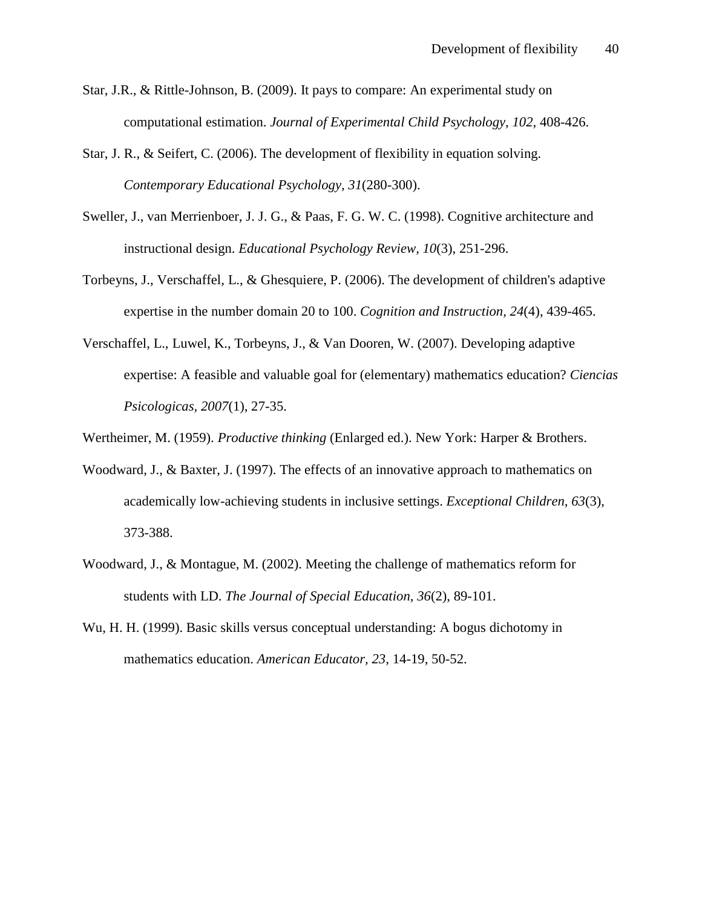- Star, J.R., & Rittle-Johnson, B. (2009). It pays to compare: An experimental study on computational estimation. *Journal of Experimental Child Psychology*, *102*, 408-426.
- Star, J. R., & Seifert, C. (2006). The development of flexibility in equation solving. *Contemporary Educational Psychology, 31*(280-300).
- Sweller, J., van Merrienboer, J. J. G., & Paas, F. G. W. C. (1998). Cognitive architecture and instructional design. *Educational Psychology Review, 10*(3), 251-296.
- Torbeyns, J., Verschaffel, L., & Ghesquiere, P. (2006). The development of children's adaptive expertise in the number domain 20 to 100. *Cognition and Instruction, 24*(4), 439-465.
- Verschaffel, L., Luwel, K., Torbeyns, J., & Van Dooren, W. (2007). Developing adaptive expertise: A feasible and valuable goal for (elementary) mathematics education? *Ciencias Psicologicas, 2007*(1), 27-35.

Wertheimer, M. (1959). *Productive thinking* (Enlarged ed.). New York: Harper & Brothers.

- Woodward, J., & Baxter, J. (1997). The effects of an innovative approach to mathematics on academically low-achieving students in inclusive settings. *Exceptional Children, 63*(3), 373-388.
- Woodward, J., & Montague, M. (2002). Meeting the challenge of mathematics reform for students with LD. *The Journal of Special Education, 36*(2), 89-101.
- Wu, H. H. (1999). Basic skills versus conceptual understanding: A bogus dichotomy in mathematics education. *American Educator, 23*, 14-19, 50-52.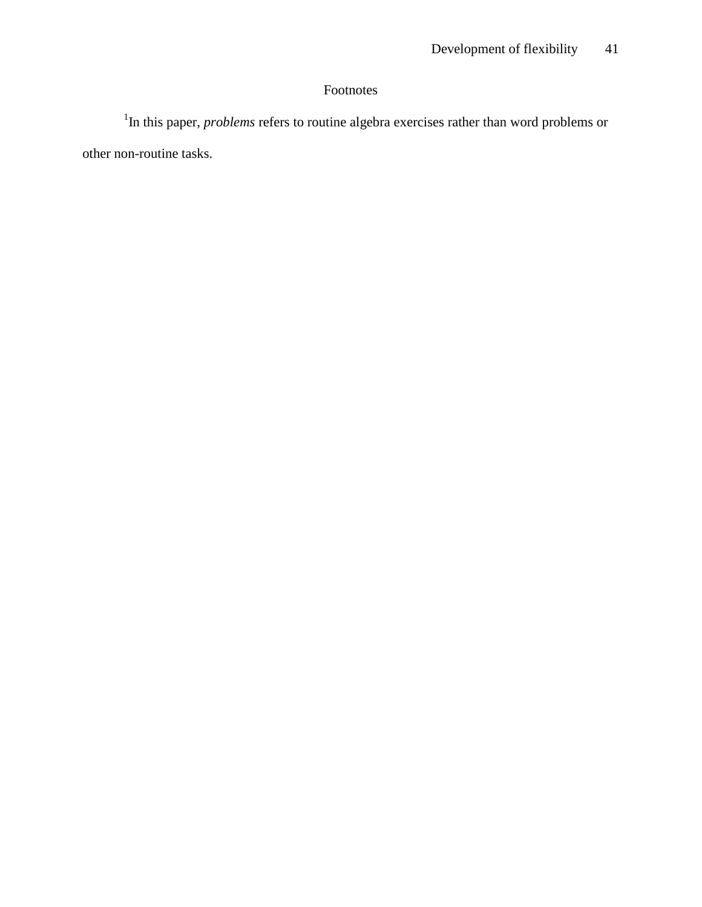## Footnotes

<sup>1</sup>In this paper, *problems* refers to routine algebra exercises rather than word problems or other non-routine tasks.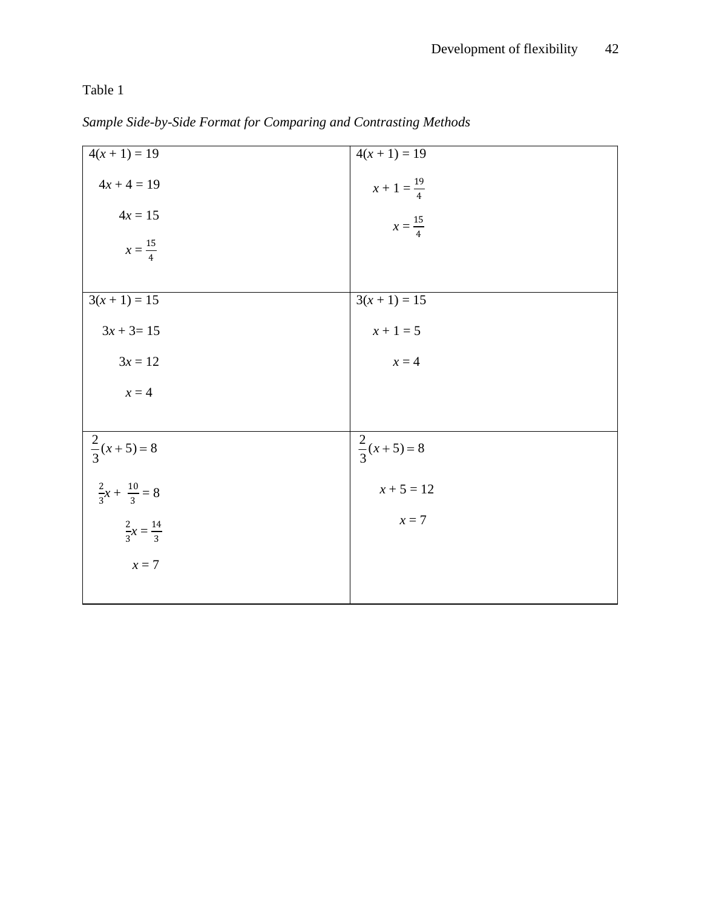Table 1

| $4(x + 1) = 19$                 | $4(x + 1) = 19$        |
|---------------------------------|------------------------|
|                                 |                        |
|                                 |                        |
| $4x + 4 = 19$                   | $x + 1 = \frac{19}{4}$ |
|                                 |                        |
| $4x = 15$                       |                        |
|                                 | $x=\frac{15}{4}$       |
|                                 |                        |
| $x=\frac{15}{4}$                |                        |
|                                 |                        |
|                                 |                        |
|                                 |                        |
| $3(x + 1) = 15$                 | $3(x + 1) = 15$        |
|                                 |                        |
| $3x + 3 = 15$                   | $x + 1 = 5$            |
|                                 |                        |
|                                 |                        |
| $3x = 12$                       | $x=4$                  |
|                                 |                        |
| $x = 4$                         |                        |
|                                 |                        |
|                                 |                        |
|                                 |                        |
|                                 | $\frac{2}{3}(x+5)=8$   |
| $\frac{2}{3}(x+5)=8$            |                        |
|                                 |                        |
|                                 |                        |
| $rac{2}{3}x + \frac{10}{3} = 8$ | $x + 5 = 12$           |
|                                 |                        |
|                                 | $x=7$                  |
| $\frac{2}{3}x = \frac{14}{3}$   |                        |
|                                 |                        |
|                                 |                        |
| $x=7$                           |                        |
|                                 |                        |
|                                 |                        |
|                                 |                        |

*Sample Side-by-Side Format for Comparing and Contrasting Methods*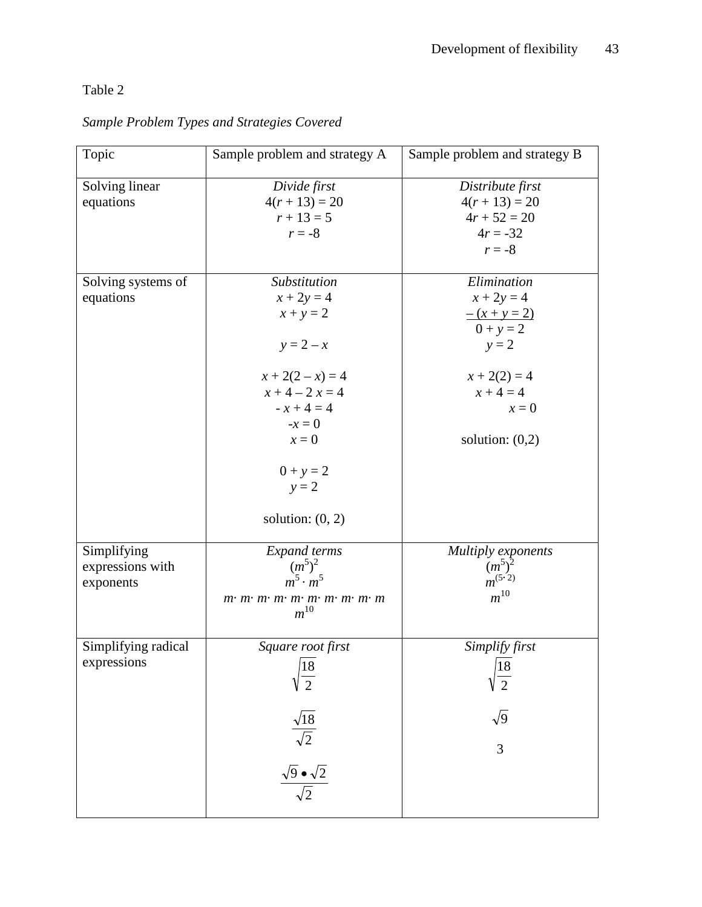# Table 2

| Topic               | Sample problem and strategy A                                       | Sample problem and strategy B |
|---------------------|---------------------------------------------------------------------|-------------------------------|
| Solving linear      | Divide first                                                        | Distribute first              |
| equations           | $4(r + 13) = 20$                                                    | $4(r+13) = 20$                |
|                     | $r + 13 = 5$                                                        | $4r + 52 = 20$                |
|                     | $r = -8$                                                            | $4r = -32$                    |
|                     |                                                                     | $r = -8$                      |
|                     |                                                                     |                               |
| Solving systems of  | Substitution                                                        | Elimination                   |
| equations           | $x + 2y = 4$                                                        | $x + 2y = 4$                  |
|                     | $x + y = 2$                                                         | $-(x + y = 2)$                |
|                     |                                                                     | $0 + y = 2$                   |
|                     | $y = 2 - x$                                                         | $y = 2$                       |
|                     |                                                                     |                               |
|                     | $x + 2(2 - x) = 4$                                                  | $x + 2(2) = 4$                |
|                     | $x+4-2 x=4$                                                         | $x + 4 = 4$                   |
|                     | $-x+4=4$                                                            | $x=0$                         |
|                     | $-x=0$                                                              |                               |
|                     | $x = 0$                                                             | solution: $(0,2)$             |
|                     |                                                                     |                               |
|                     | $0 + y = 2$                                                         |                               |
|                     | $y = 2$                                                             |                               |
|                     | solution: $(0, 2)$                                                  |                               |
| Simplifying         | Expand terms                                                        | Multiply exponents            |
| expressions with    | $(m^5)^2$                                                           | $(m^3)^2$                     |
| exponents           | $m^5 \cdot m^5$                                                     | $m^{(5(2))}$                  |
|                     | $m \cdot m \cdot m \cdot m \cdot m \cdot m \cdot m \cdot m$         | $m^{10}$                      |
|                     | $m^{10}$                                                            |                               |
|                     |                                                                     |                               |
| Simplifying radical | Square root first                                                   | Simplify first                |
| expressions         | $\frac{18}{2}$                                                      | $\sqrt{\frac{18}{2}}$         |
|                     |                                                                     |                               |
|                     |                                                                     |                               |
|                     |                                                                     | $\sqrt{9}$                    |
|                     |                                                                     |                               |
|                     |                                                                     | 3                             |
|                     | $\frac{\sqrt{18}}{\sqrt{2}}$<br>$\frac{\sqrt{9} \cdot \sqrt{2}}{1}$ |                               |
|                     |                                                                     |                               |
|                     | $\overline{\sqrt{2}}$                                               |                               |
|                     |                                                                     |                               |

# *Sample Problem Types and Strategies Covered*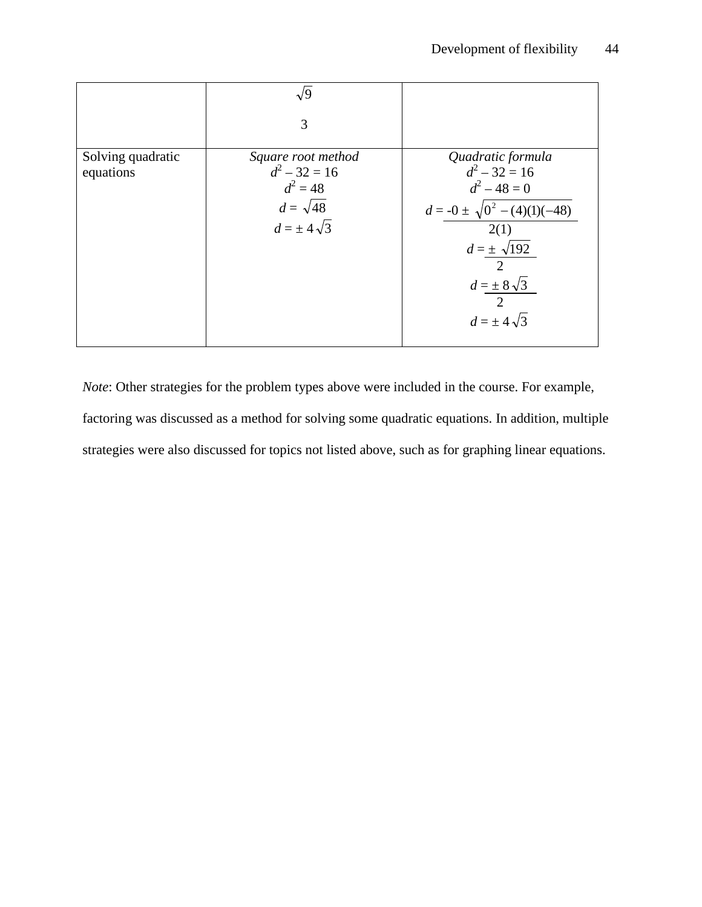|                                | $\sqrt{9}$<br>3                                                                           |                                                                                                                                                                                                            |
|--------------------------------|-------------------------------------------------------------------------------------------|------------------------------------------------------------------------------------------------------------------------------------------------------------------------------------------------------------|
| Solving quadratic<br>equations | Square root method<br>$d^2 - 32 = 16$<br>$d^2 = 48$<br>$d=\sqrt{48}$<br>$d=\pm 4\sqrt{3}$ | Quadratic formula<br>$d^2 - 32 = 16$<br>$d^2 - 48 = 0$<br>$d = -0 \pm \sqrt{0^2 - (4)(1)(-48)}$<br>2(1)<br>$d=\pm\sqrt{192}$<br>$\mathcal{D}$<br>$d = \pm 8\sqrt{3}$<br>$\mathcal{D}$<br>$d=\pm 4\sqrt{3}$ |

*Note*: Other strategies for the problem types above were included in the course. For example, factoring was discussed as a method for solving some quadratic equations. In addition, multiple strategies were also discussed for topics not listed above, such as for graphing linear equations.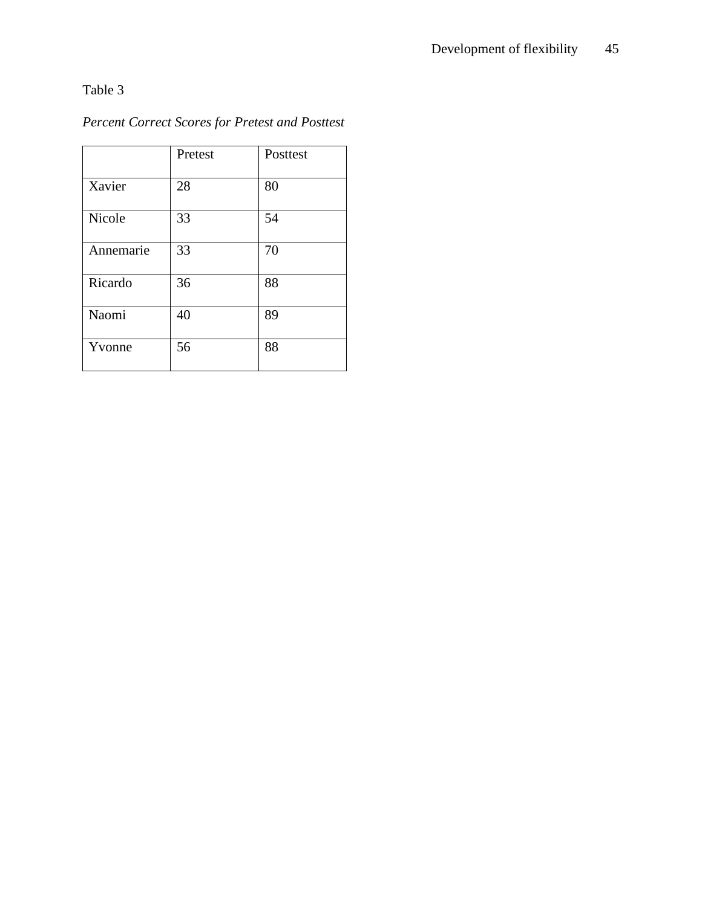# Table 3

# *Percent Correct Scores for Pretest and Posttest*

|           | Pretest | Posttest |
|-----------|---------|----------|
| Xavier    | 28      | 80       |
| Nicole    | 33      | 54       |
| Annemarie | 33      | 70       |
| Ricardo   | 36      | 88       |
| Naomi     | 40      | 89       |
| Yvonne    | 56      | 88       |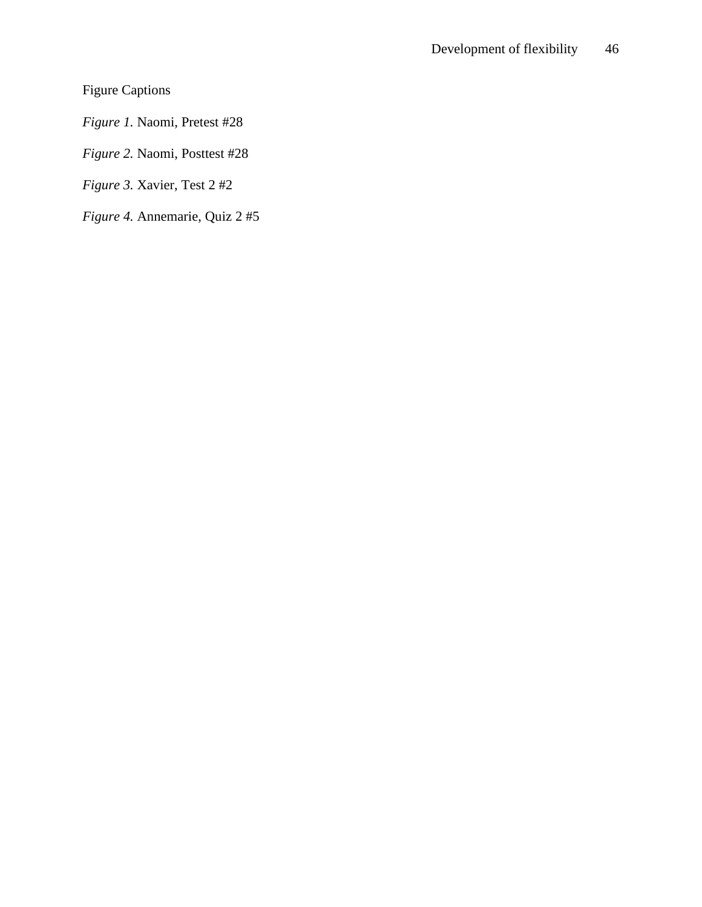Figure Captions

- *Figure 1.* Naomi, Pretest #28
- *Figure 2.* Naomi, Posttest #28
- *Figure 3.* Xavier, Test 2 #2
- *Figure 4.* Annemarie, Quiz 2 #5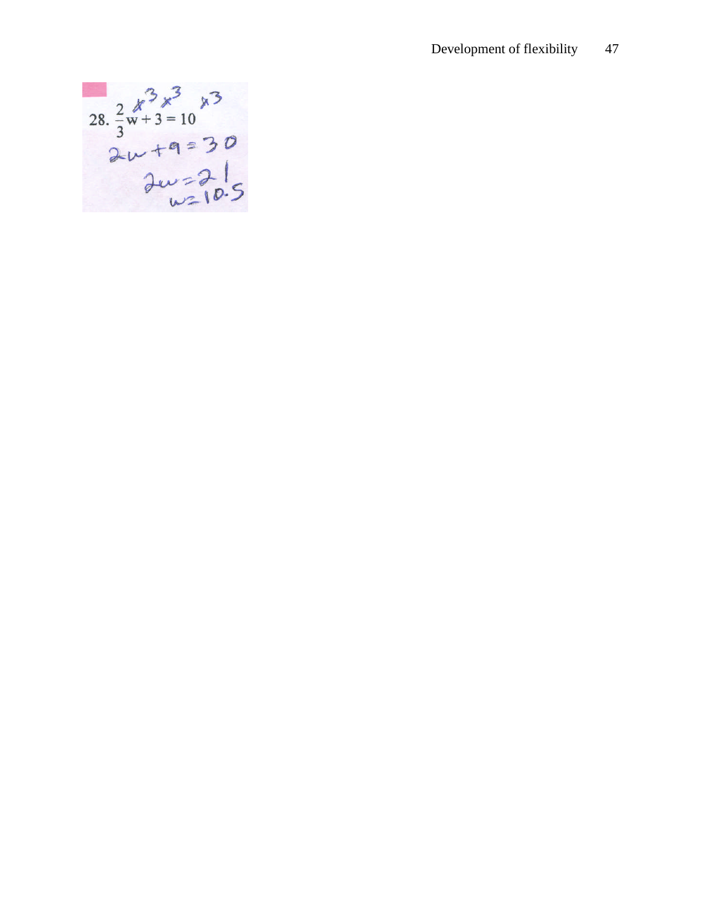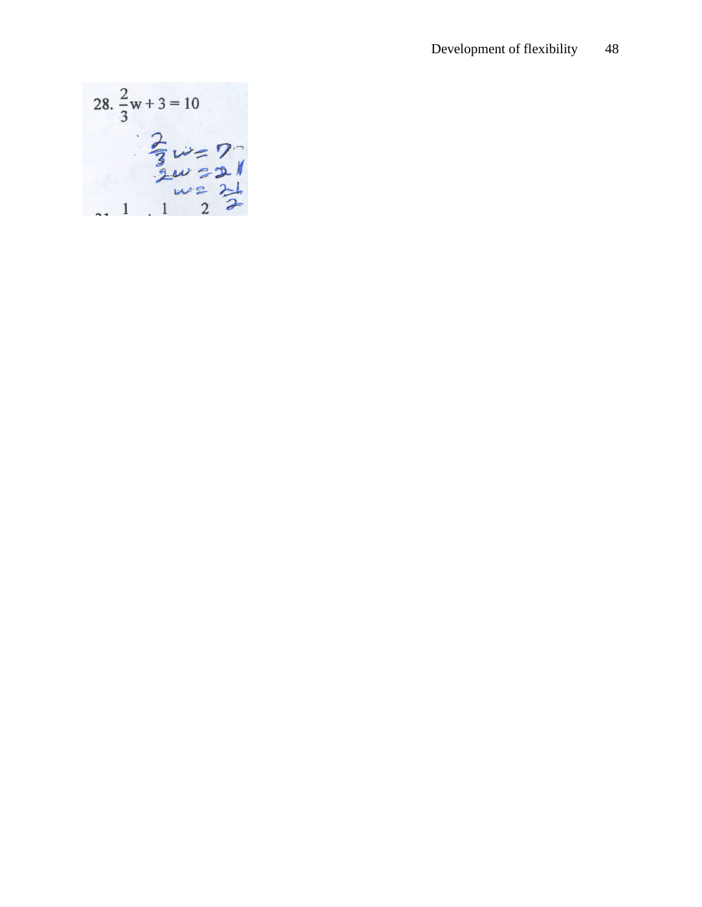28. 
$$
\frac{2}{3}
$$
w + 3 = 10  
\n $\frac{2}{3}$  w = 7  
\n2w = 21  
\n $\frac{2}{3}$   
\n $\frac{2}{3}$   
\n $\frac{2}{3}$   
\n $\frac{2}{3}$   
\n $\frac{2}{3}$